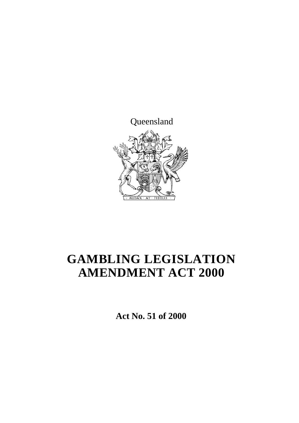

# **GAMBLING LEGISLATION AMENDMENT ACT 2000**

**Act No. 51 of 2000**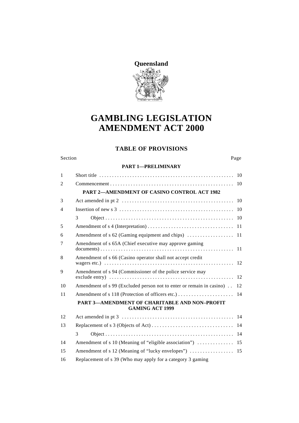

## **GAMBLING LEGISLATION AMENDMENT ACT 2000**

### **TABLE OF PROVISIONS**

#### Section Page

#### **PART 1—PRELIMINARY**

| $\mathbf{1}$   |                                                                                |    |  |
|----------------|--------------------------------------------------------------------------------|----|--|
| $\overline{2}$ |                                                                                |    |  |
|                | PART 2-AMENDMENT OF CASINO CONTROL ACT 1982                                    |    |  |
| 3              |                                                                                | 10 |  |
| $\overline{4}$ |                                                                                |    |  |
|                | 3                                                                              |    |  |
| 5              |                                                                                |    |  |
| 6              |                                                                                |    |  |
| 7              | Amendment of s 65A (Chief executive may approve gaming                         |    |  |
| 8              | Amendment of s 66 (Casino operator shall not accept credit                     |    |  |
| 9              | Amendment of s 94 (Commissioner of the police service may                      |    |  |
| 10             | Amendment of s 99 (Excluded person not to enter or remain in casino).          | 12 |  |
| 11             |                                                                                |    |  |
|                | <b>PART 3—AMENDMENT OF CHARITABLE AND NON-PROFIT</b><br><b>GAMING ACT 1999</b> |    |  |
| 12             |                                                                                |    |  |
| 13             |                                                                                |    |  |
|                | 3                                                                              |    |  |
| 14             |                                                                                |    |  |
| 15             |                                                                                |    |  |
| 16             | Replacement of s 39 (Who may apply for a category 3 gaming                     |    |  |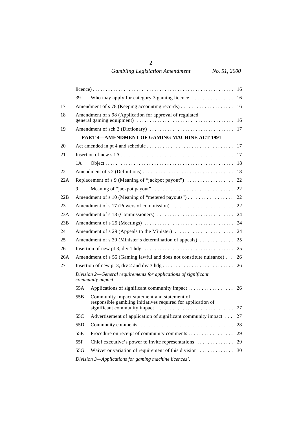|     | 39                                                                                  | Who may apply for category 3 gaming licence $\dots\dots\dots\dots\dots$                                     | 16 |  |
|-----|-------------------------------------------------------------------------------------|-------------------------------------------------------------------------------------------------------------|----|--|
| 17  |                                                                                     | Amendment of s 78 (Keeping accounting records)                                                              | 16 |  |
| 18  |                                                                                     | Amendment of s 98 (Application for approval of regulated                                                    |    |  |
| 19  |                                                                                     |                                                                                                             |    |  |
|     |                                                                                     | <b>PART 4-AMENDMENT OF GAMING MACHINE ACT 1991</b>                                                          |    |  |
| 20  |                                                                                     |                                                                                                             |    |  |
| 21  |                                                                                     |                                                                                                             |    |  |
|     | 1 A                                                                                 |                                                                                                             |    |  |
| 22  |                                                                                     |                                                                                                             |    |  |
| 22A |                                                                                     |                                                                                                             |    |  |
|     | 9                                                                                   |                                                                                                             |    |  |
| 22B |                                                                                     | Amendment of s 10 (Meaning of "metered payouts") 22                                                         |    |  |
| 23  |                                                                                     |                                                                                                             |    |  |
| 23A |                                                                                     |                                                                                                             |    |  |
| 23B |                                                                                     |                                                                                                             |    |  |
| 24  |                                                                                     |                                                                                                             |    |  |
| 25  |                                                                                     |                                                                                                             |    |  |
| 26  |                                                                                     |                                                                                                             |    |  |
| 26A |                                                                                     | Amendment of s 55 (Gaming lawful and does not constitute nuisance) 26                                       |    |  |
| 27  |                                                                                     |                                                                                                             |    |  |
|     | Division 2—General requirements for applications of significant<br>community impact |                                                                                                             |    |  |
|     | 55A                                                                                 |                                                                                                             |    |  |
|     | 55 <sub>B</sub>                                                                     | Community impact statement and statement of<br>responsible gambling initiatives required for application of |    |  |
|     | 55C                                                                                 | Advertisement of application of significant community impact                                                | 27 |  |
|     | 55D                                                                                 |                                                                                                             | 28 |  |
|     | 55E                                                                                 |                                                                                                             | 29 |  |
|     | 55F                                                                                 | Chief executive's power to invite representations                                                           | 29 |  |
|     | 55G                                                                                 | Waiver or variation of requirement of this division                                                         | 30 |  |
|     | Division 3-Applications for gaming machine licences'.                               |                                                                                                             |    |  |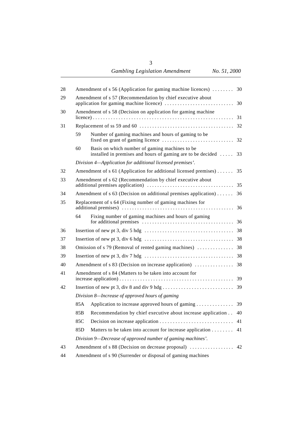| 28 | Amendment of s 56 (Application for gaming machine licences)<br>30 |                                                                                                               |    |  |
|----|-------------------------------------------------------------------|---------------------------------------------------------------------------------------------------------------|----|--|
|    |                                                                   |                                                                                                               |    |  |
| 29 | Amendment of s 57 (Recommendation by chief executive about<br>30  |                                                                                                               |    |  |
| 30 |                                                                   | Amendment of s 58 (Decision on application for gaming machine                                                 |    |  |
|    |                                                                   |                                                                                                               | 31 |  |
| 31 |                                                                   |                                                                                                               | 32 |  |
|    | 59                                                                | Number of gaming machines and hours of gaming to be                                                           | 32 |  |
|    | 60                                                                | Basis on which number of gaming machines to be<br>installed in premises and hours of gaming are to be decided | 33 |  |
|    |                                                                   | Division 4-Application for additional licensed premises'.                                                     |    |  |
| 32 |                                                                   | Amendment of s 61 (Application for additional licensed premises)                                              | 35 |  |
| 33 |                                                                   | Amendment of s 62 (Recommendation by chief executive about<br>35                                              |    |  |
| 34 |                                                                   | Amendment of $s$ 63 (Decision on additional premises application)                                             | 36 |  |
| 35 |                                                                   | Replacement of s 64 (Fixing number of gaming machines for<br>36                                               |    |  |
|    | 64                                                                | Fixing number of gaming machines and hours of gaming                                                          |    |  |
| 36 |                                                                   |                                                                                                               |    |  |
| 37 |                                                                   |                                                                                                               |    |  |
|    |                                                                   |                                                                                                               |    |  |
| 38 |                                                                   |                                                                                                               |    |  |
| 39 |                                                                   |                                                                                                               |    |  |
| 40 |                                                                   |                                                                                                               |    |  |
| 41 |                                                                   | Amendment of s 84 (Matters to be taken into account for                                                       |    |  |
| 42 |                                                                   |                                                                                                               |    |  |
|    |                                                                   | Division 8-Increase of approved hours of gaming                                                               |    |  |
|    | 85A                                                               | Application to increase approved hours of gaming 39                                                           |    |  |
|    | 85B                                                               | Recommendation by chief executive about increase application                                                  | 40 |  |
|    | 85C                                                               |                                                                                                               | 41 |  |
|    |                                                                   |                                                                                                               |    |  |
|    | 85 <sub>D</sub>                                                   | Matters to be taken into account for increase application                                                     | 41 |  |
|    |                                                                   | Division 9—Decrease of approved number of gaming machines'.                                                   |    |  |
| 43 |                                                                   | Amendment of s 88 (Decision on decrease proposal)<br>42                                                       |    |  |
| 44 | Amendment of s 90 (Surrender or disposal of gaming machines       |                                                                                                               |    |  |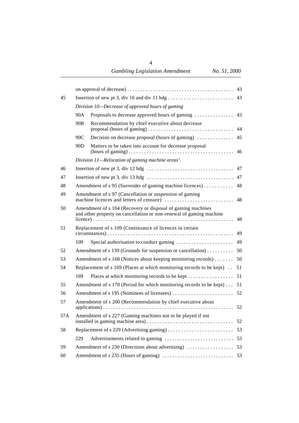| 45  |                 |                                                                                                                                    |    |
|-----|-----------------|------------------------------------------------------------------------------------------------------------------------------------|----|
|     |                 | Division 10-Decrease of approved hours of gaming                                                                                   |    |
|     | 90A             | Proposals to decrease approved hours of gaming                                                                                     | 43 |
|     | 90 <sub>B</sub> | Recommendation by chief executive about decrease                                                                                   | 44 |
|     | 90C             | Decision on decrease proposal (hours of gaming)                                                                                    | 45 |
|     | 90 <sub>D</sub> | Matters to be taken into account for decrease proposal                                                                             | 46 |
|     |                 | Division 11—Relocation of gaming machine areas'.                                                                                   |    |
| 46  |                 | Insertion of new pt 3, div 12 hdg $\dots \dots \dots \dots \dots \dots \dots \dots \dots \dots \dots \dots$ 47                     |    |
| 47  |                 |                                                                                                                                    | 47 |
| 48  |                 | Amendment of s 95 (Surrender of gaming machine licences)                                                                           | 48 |
| 49  |                 | Amendment of s 97 (Cancellation or suspension of gaming                                                                            | 48 |
| 50  |                 | Amendment of s 104 (Recovery or disposal of gaming machines<br>and other property on cancellation or non-renewal of gaming machine | 48 |
| 51  |                 | Replacement of s 109 (Continuance of licences in certain                                                                           | 49 |
|     | 109             |                                                                                                                                    | 49 |
| 52  |                 | Amendment of s 139 (Grounds for suspension or cancellation)                                                                        | 50 |
| 53  |                 | Amendment of s 168 (Notices about keeping monitoring records)                                                                      | 50 |
| 54  |                 | Replacement of s 169 (Places at which monitoring records to be kept) . 51                                                          |    |
|     | 169             | Places at which monitoring records to be kept 51                                                                                   |    |
| 55  |                 | Amendment of s 170 (Period for which monitoring records to be kept) $\dots$ 51                                                     |    |
| 56  |                 |                                                                                                                                    |    |
| 57  |                 | Amendment of s 200 (Recommendation by chief executive about                                                                        |    |
| 57A |                 | Amendment of s 227 (Gaming machines not to be played if not                                                                        | 52 |
| 58  |                 |                                                                                                                                    | 53 |
|     | 229             |                                                                                                                                    | 53 |
| 59  |                 |                                                                                                                                    |    |
| 60  |                 |                                                                                                                                    |    |

4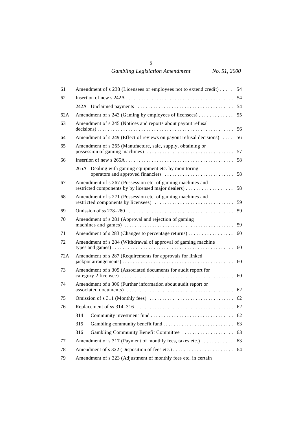| 61  | Amendment of s 238 (Licensees or employees not to extend credit)<br>54                                            |    |  |
|-----|-------------------------------------------------------------------------------------------------------------------|----|--|
| 62  |                                                                                                                   | 54 |  |
|     |                                                                                                                   |    |  |
| 62A | Amendment of s 243 (Gaming by employees of licensees)                                                             | 55 |  |
| 63  | Amendment of s 245 (Notices and reports about payout refusal<br>56                                                |    |  |
| 64  | Amendment of s 249 (Effect of reviews on payout refusal decisions)                                                | 56 |  |
| 65  | Amendment of s 265 (Manufacture, sale, supply, obtaining or                                                       | 57 |  |
| 66  |                                                                                                                   | 58 |  |
|     | 265A Dealing with gaming equipment etc. by monitoring                                                             | 58 |  |
| 67  | Amendment of s 267 (Possession etc. of gaming machines and<br>restricted components by by licensed major dealers) | 58 |  |
| 68  | Amendment of s 271 (Possession etc. of gaming machines and                                                        | 59 |  |
| 69  |                                                                                                                   | 59 |  |
| 70  | Amendment of s 281 (Approval and rejection of gaming                                                              | 59 |  |
| 71  | Amendment of s 283 (Changes to percentage returns)                                                                | 60 |  |
| 72  | Amendment of s 284 (Withdrawal of approval of gaming machine                                                      | 60 |  |
| 72A | Amendment of s 287 (Requirements for approvals for linked<br>60                                                   |    |  |
| 73  | Amendment of s 305 (Associated documents for audit report for                                                     | 60 |  |
| 74  | Amendment of s 306 (Further information about audit report or                                                     | 62 |  |
| 75  |                                                                                                                   |    |  |
| 76  |                                                                                                                   |    |  |
|     | 314                                                                                                               | 62 |  |
|     | 315                                                                                                               | 63 |  |
|     | 316<br>Gambling Community Benefit Committee                                                                       | 63 |  |
| 77  | Amendment of s 317 (Payment of monthly fees, taxes etc.)                                                          | 63 |  |
| 78  | 64                                                                                                                |    |  |
| 79  | Amendment of s 323 (Adjustment of monthly fees etc. in certain                                                    |    |  |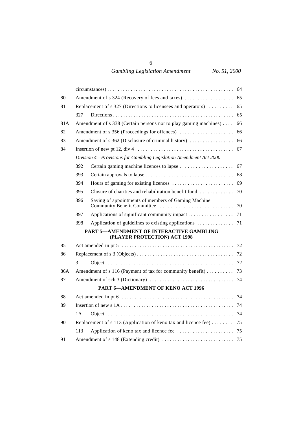| 80  |     |                                                                                                                        |    |
|-----|-----|------------------------------------------------------------------------------------------------------------------------|----|
| 81  |     |                                                                                                                        | 65 |
|     | 327 |                                                                                                                        |    |
| 81A |     | Amendment of s 338 (Certain persons not to play gaming machines)                                                       | 66 |
| 82  |     | Amendment of s 356 (Proceedings for offences)                                                                          | 66 |
| 83  |     |                                                                                                                        |    |
| 84  |     | Insertion of new pt 12, div $4 \ldots \ldots \ldots \ldots \ldots \ldots \ldots \ldots \ldots \ldots \ldots \ldots$ 67 |    |
|     |     | Division 4-Provisions for Gambling Legislation Amendment Act 2000                                                      |    |
|     | 392 |                                                                                                                        | 67 |
|     | 393 |                                                                                                                        |    |
|     | 394 |                                                                                                                        |    |
|     | 395 | Closure of charities and rehabilitation benefit fund                                                                   | 70 |
|     | 396 | Saving of appointments of members of Gaming Machine                                                                    |    |
|     | 397 | Applications of significant community impact 71                                                                        |    |
|     | 398 |                                                                                                                        |    |
|     |     | PART 5-AMENDMENT OF INTERACTIVE GAMBLING<br>(PLAYER PROTECTION) ACT 1998                                               |    |
| 85  |     |                                                                                                                        |    |
| 86  |     |                                                                                                                        |    |
|     | 3   |                                                                                                                        |    |
| 86A |     | Amendment of s 116 (Payment of tax for community benefit) 73                                                           |    |
| 87  |     |                                                                                                                        |    |
|     |     | PART 6-AMENDMENT OF KENO ACT 1996                                                                                      |    |
| 88  |     |                                                                                                                        |    |
| 89  |     |                                                                                                                        |    |
|     | 1A  |                                                                                                                        |    |
| 90  |     | Replacement of s 113 (Application of keno tax and licence fee) $\dots \dots$                                           | 75 |
|     | 113 |                                                                                                                        |    |
| 91  |     |                                                                                                                        |    |

6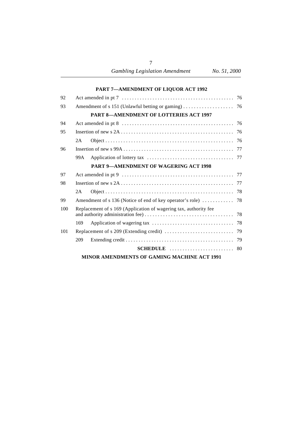| 92  |      |                                                                  |  |
|-----|------|------------------------------------------------------------------|--|
| 93  |      |                                                                  |  |
|     |      | <b>PART 8-AMENDMENT OF LOTTERIES ACT 1997</b>                    |  |
| 94  |      |                                                                  |  |
| 95  |      |                                                                  |  |
|     | 2A   |                                                                  |  |
| 96  |      |                                                                  |  |
|     | 99A. |                                                                  |  |
|     |      | <b>PART 9-AMENDMENT OF WAGERING ACT 1998</b>                     |  |
| 97  |      |                                                                  |  |
| 98  |      |                                                                  |  |
|     | 2A   |                                                                  |  |
| 99  |      |                                                                  |  |
| 100 |      | Replacement of s 169 (Application of wagering tax, authority fee |  |
|     | 169  |                                                                  |  |
| 101 |      |                                                                  |  |
|     | 209  |                                                                  |  |
|     |      |                                                                  |  |
|     |      | MINOR AMENDMENTS OF GAMING MACHINE ACT 1991                      |  |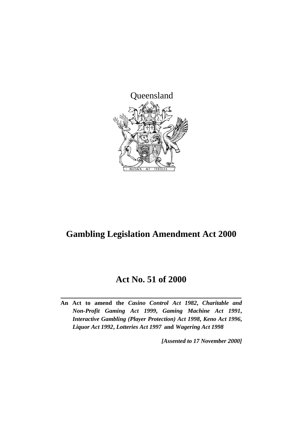

## **Gambling Legislation Amendment Act 2000**

## **Act No. 51 of 2000**

**An Act to amend the** *Casino Control Act 1982***,** *Charitable and Non-Profit Gaming Act 1999***,** *Gaming Machine Act 1991***,** *Interactive Gambling (Player Protection) Act 1998***,** *Keno Act 1996***,** *Liquor Act 1992***,** *Lotteries Act 1997* **and** *Wagering Act 1998*

*[Assented to 17 November 2000]*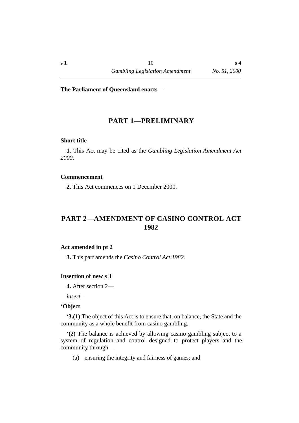#### **The Parliament of Queensland enacts—**

## **†PART 1—PRELIMINARY**

#### **˙Short title**

**1.** This Act may be cited as the *Gambling Legislation Amendment Act 2000*.

#### **˙Commencement**

**2.** This Act commences on 1 December 2000.

## **†PART 2—AMENDMENT OF CASINO CONTROL ACT 1982**

#### **˙Act amended in pt 2**

**3.** This part amends the *Casino Control Act 1982*.

#### **˙Insertion of new s 3**

**4.** After section 2—

*insert—*

#### ˙'**Object**

'**3.(1)** The object of this Act is to ensure that, on balance, the State and the community as a whole benefit from casino gambling.

'**(2)** The balance is achieved by allowing casino gambling subject to a system of regulation and control designed to protect players and the community through—

(a) ensuring the integrity and fairness of games; and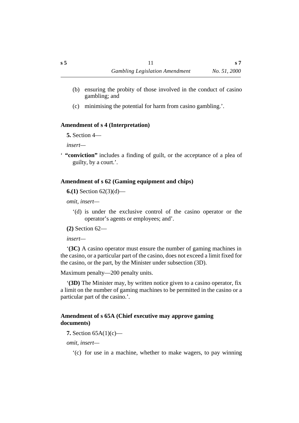- (b) ensuring the probity of those involved in the conduct of casino gambling; and
- (c) minimising the potential for harm from casino gambling.'.

## **˙Amendment of s 4 (Interpretation)**

**5.** Section 4—

*insert—*

' **"conviction"** includes a finding of guilt, or the acceptance of a plea of guilty, by a court.'.

## **˙Amendment of s 62 (Gaming equipment and chips)**

**6.(1)** Section 62(3)(d)—

*omit, insert—*

'(d) is under the exclusive control of the casino operator or the operator's agents or employees; and'.

**(2)** Section 62—

*insert—*

'**(3C)** A casino operator must ensure the number of gaming machines in the casino, or a particular part of the casino, does not exceed a limit fixed for the casino, or the part, by the Minister under subsection (3D).

Maximum penalty—200 penalty units.

'**(3D)** The Minister may, by written notice given to a casino operator, fix a limit on the number of gaming machines to be permitted in the casino or a particular part of the casino.'.

## **˙Amendment of s 65A (Chief executive may approve gaming documents)**

**7.** Section 65A(1)(c)—

*omit, insert—*

'(c) for use in a machine, whether to make wagers, to pay winning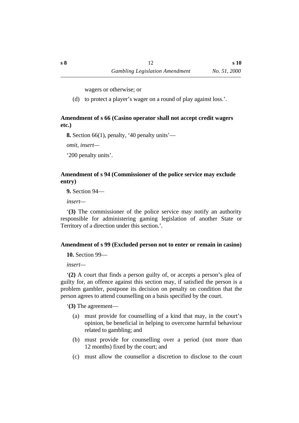**s 10**

wagers or otherwise; or

(d) to protect a player's wager on a round of play against loss.'.

#### **˙Amendment of s 66 (Casino operator shall not accept credit wagers etc.)**

**8.** Section 66(1), penalty, '40 penalty units'—

*omit, insert—*

'200 penalty units'.

#### **˙Amendment of s 94 (Commissioner of the police service may exclude entry)**

**9.** Section 94—

*insert—*

'**(3)** The commissioner of the police service may notify an authority responsible for administering gaming legislation of another State or Territory of a direction under this section.'.

#### **˙Amendment of s 99 (Excluded person not to enter or remain in casino)**

**10.** Section 99—

*insert—*

'**(2)** A court that finds a person guilty of, or accepts a person's plea of guilty for, an offence against this section may, if satisfied the person is a problem gambler, postpone its decision on penalty on condition that the person agrees to attend counselling on a basis specified by the court.

'**(3)** The agreement—

- (a) must provide for counselling of a kind that may, in the court's opinion, be beneficial in helping to overcome harmful behaviour related to gambling; and
- (b) must provide for counselling over a period (not more than 12 months) fixed by the court; and
- (c) must allow the counsellor a discretion to disclose to the court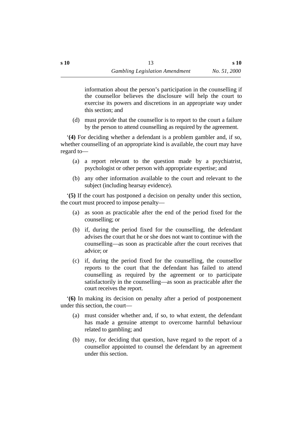information about the person's participation in the counselling if the counsellor believes the disclosure will help the court to exercise its powers and discretions in an appropriate way under this section; and

(d) must provide that the counsellor is to report to the court a failure by the person to attend counselling as required by the agreement.

'**(4)** For deciding whether a defendant is a problem gambler and, if so, whether counselling of an appropriate kind is available, the court may have regard to—

- (a) a report relevant to the question made by a psychiatrist, psychologist or other person with appropriate expertise; and
- (b) any other information available to the court and relevant to the subject (including hearsay evidence).

'**(5)** If the court has postponed a decision on penalty under this section, the court must proceed to impose penalty—

- (a) as soon as practicable after the end of the period fixed for the counselling; or
- (b) if, during the period fixed for the counselling, the defendant advises the court that he or she does not want to continue with the counselling—as soon as practicable after the court receives that advice; or
- (c) if, during the period fixed for the counselling, the counsellor reports to the court that the defendant has failed to attend counselling as required by the agreement or to participate satisfactorily in the counselling—as soon as practicable after the court receives the report.

'**(6)** In making its decision on penalty after a period of postponement under this section, the court—

- (a) must consider whether and, if so, to what extent, the defendant has made a genuine attempt to overcome harmful behaviour related to gambling; and
- (b) may, for deciding that question, have regard to the report of a counsellor appointed to counsel the defendant by an agreement under this section.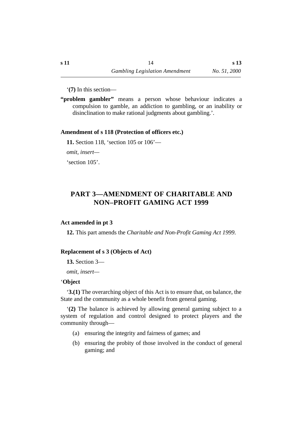'**(7)** In this section—

**"problem gambler"** means a person whose behaviour indicates a compulsion to gamble, an addiction to gambling, or an inability or disinclination to make rational judgments about gambling.'.

#### **˙Amendment of s 118 (Protection of officers etc.)**

**11.** Section 118, 'section 105 or 106'—

*omit, insert—*

'section 105'.

## **†PART 3—AMENDMENT OF CHARITABLE AND NON–PROFIT GAMING ACT 1999**

#### **˙Act amended in pt 3**

**12.** This part amends the *Charitable and Non-Profit Gaming Act 1999*.

## **˙Replacement of s 3 (Objects of Act)**

**13.** Section 3—

*omit, insert—*

## ˙'**Object**

'**3.(1)** The overarching object of this Act is to ensure that, on balance, the State and the community as a whole benefit from general gaming.

'**(2)** The balance is achieved by allowing general gaming subject to a system of regulation and control designed to protect players and the community through—

- (a) ensuring the integrity and fairness of games; and
- (b) ensuring the probity of those involved in the conduct of general gaming; and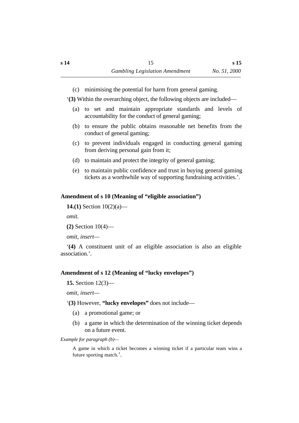(c) minimising the potential for harm from general gaming.

'**(3)** Within the overarching object, the following objects are included—

- (a) to set and maintain appropriate standards and levels of accountability for the conduct of general gaming;
- (b) to ensure the public obtains reasonable net benefits from the conduct of general gaming;
- (c) to prevent individuals engaged in conducting general gaming from deriving personal gain from it;
- (d) to maintain and protect the integrity of general gaming;
- (e) to maintain public confidence and trust in buying general gaming tickets as a worthwhile way of supporting fundraising activities.'.

## **˙Amendment of s 10 (Meaning of "eligible association")**

```
14.(1) Section 10(2)(a)—
```
*omit.*

```
(2) Section 10(4)—
```
*omit, insert—*

'**(4)** A constituent unit of an eligible association is also an eligible association.'.

## **˙Amendment of s 12 (Meaning of "lucky envelopes")**

**15.** Section 12(3)—

*omit, insert—*

#### '**(3)** However, **"lucky envelopes"** does not include—

- (a) a promotional game; or
- (b) a game in which the determination of the winning ticket depends on a future event.

#### *Example for paragraph (b)—*

A game in which a ticket becomes a winning ticket if a particular team wins a future sporting match.'.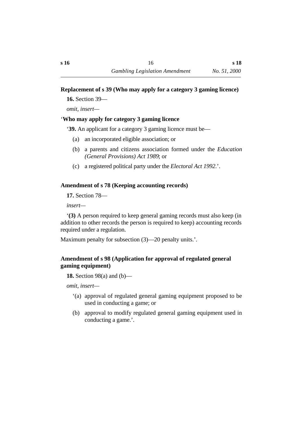## **˙Replacement of s 39 (Who may apply for a category 3 gaming licence)**

**16.** Section 39—

*omit, insert—*

## ˙'**Who may apply for category 3 gaming licence**

'**39.** An applicant for a category 3 gaming licence must be—

- (a) an incorporated eligible association; or
- (b) a parents and citizens association formed under the *Education (General Provisions) Act 1989*; or
- (c) a registered political party under the *Electoral Act 1992*.'.

## **˙Amendment of s 78 (Keeping accounting records)**

**17.** Section 78—

*insert—*

'**(3)** A person required to keep general gaming records must also keep (in addition to other records the person is required to keep) accounting records required under a regulation.

Maximum penalty for subsection (3)—20 penalty units.'.

## **˙Amendment of s 98 (Application for approval of regulated general gaming equipment)**

**18.** Section 98(a) and (b)—

*omit, insert—*

- '(a) approval of regulated general gaming equipment proposed to be used in conducting a game; or
- (b) approval to modify regulated general gaming equipment used in conducting a game.'.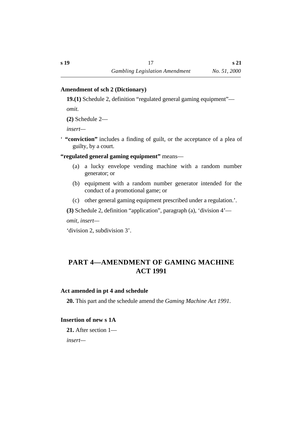**s 21**

#### **˙Amendment of sch 2 (Dictionary)**

**19.(1)** Schedule 2, definition "regulated general gaming equipment"—

*omit.*

**(2)** Schedule 2—

*insert—*

' **"conviction"** includes a finding of guilt, or the acceptance of a plea of guilty, by a court.

**"regulated general gaming equipment"** means—

- (a) a lucky envelope vending machine with a random number generator; or
- (b) equipment with a random number generator intended for the conduct of a promotional game; or
- (c) other general gaming equipment prescribed under a regulation.'.

**(3)** Schedule 2, definition "application", paragraph (a), 'division 4'—

*omit, insert—*

'division 2, subdivision 3'.

## **†PART 4—AMENDMENT OF GAMING MACHINE ACT 1991**

#### **˙Act amended in pt 4 and schedule**

**20.** This part and the schedule amend the *Gaming Machine Act 1991*.

## **˙Insertion of new s 1A**

**21.** After section 1 *insert—*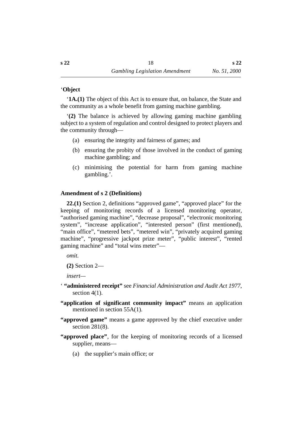## ˙'**Object**

'**1A.(1)** The object of this Act is to ensure that, on balance, the State and the community as a whole benefit from gaming machine gambling.

'**(2)** The balance is achieved by allowing gaming machine gambling subject to a system of regulation and control designed to protect players and the community through—

- (a) ensuring the integrity and fairness of games; and
- (b) ensuring the probity of those involved in the conduct of gaming machine gambling; and
- (c) minimising the potential for harm from gaming machine gambling.'.

## **˙Amendment of s 2 (Definitions)**

**22.(1)** Section 2, definitions "approved game", "approved place" for the keeping of monitoring records of a licensed monitoring operator, "authorised gaming machine", "decrease proposal", "electronic monitoring system", "increase application", "interested person" (first mentioned), "main office", "metered bets", "metered win", "privately acquired gaming machine", "progressive jackpot prize meter", "public interest", "rented gaming machine" and "total wins meter"—

*omit.*

**(2)** Section 2—

*insert—*

- ' **"administered receipt"** see *Financial Administration and Audit Act 1977*, section 4(1).
- **"application of significant community impact"** means an application mentioned in section 55A(1).
- **"approved game"** means a game approved by the chief executive under section 281<sub>(8)</sub>.
- **"approved place"**, for the keeping of monitoring records of a licensed supplier, means—
	- (a) the supplier's main office; or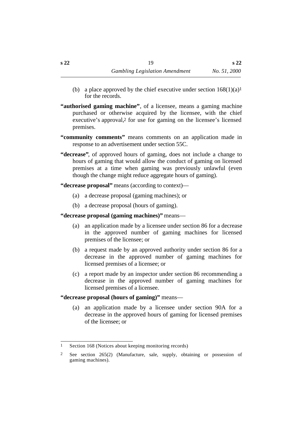- (b) a place approved by the chief executive under section  $168(1)(a)$ <sup>1</sup> for the records.
- **"authorised gaming machine"**, of a licensee, means a gaming machine purchased or otherwise acquired by the licensee, with the chief executive's approval,2 for use for gaming on the licensee's licensed premises.
- **"community comments"** means comments on an application made in response to an advertisement under section 55C.
- **"decrease"**, of approved hours of gaming, does not include a change to hours of gaming that would allow the conduct of gaming on licensed premises at a time when gaming was previously unlawful (even though the change might reduce aggregate hours of gaming).

**"decrease proposal"** means (according to context)—

- (a) a decrease proposal (gaming machines); or
- (b) a decrease proposal (hours of gaming).

**"decrease proposal (gaming machines)"** means—

- (a) an application made by a licensee under section 86 for a decrease in the approved number of gaming machines for licensed premises of the licensee; or
- (b) a request made by an approved authority under section 86 for a decrease in the approved number of gaming machines for licensed premises of a licensee; or
- (c) a report made by an inspector under section 86 recommending a decrease in the approved number of gaming machines for licensed premises of a licensee.

**"decrease proposal (hours of gaming)"** means—

(a) an application made by a licensee under section 90A for a decrease in the approved hours of gaming for licensed premises of the licensee; or

<sup>1</sup> Section 168 (Notices about keeping monitoring records)

<sup>2</sup> See section 265(2) (Manufacture, sale, supply, obtaining or possession of gaming machines).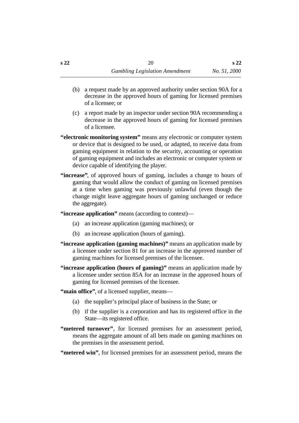- (b) a request made by an approved authority under section 90A for a decrease in the approved hours of gaming for licensed premises of a licensee; or
- (c) a report made by an inspector under section 90A recommending a decrease in the approved hours of gaming for licensed premises of a licensee.
- **"electronic monitoring system"** means any electronic or computer system or device that is designed to be used, or adapted, to receive data from gaming equipment in relation to the security, accounting or operation of gaming equipment and includes an electronic or computer system or device capable of identifying the player.
- **"increase"**, of approved hours of gaming, includes a change to hours of gaming that would allow the conduct of gaming on licensed premises at a time when gaming was previously unlawful (even though the change might leave aggregate hours of gaming unchanged or reduce the aggregate).
- **"increase application"** means (according to context)—
	- (a) an increase application (gaming machines); or
	- (b) an increase application (hours of gaming).
- **"increase application (gaming machines)"** means an application made by a licensee under section 81 for an increase in the approved number of gaming machines for licensed premises of the licensee.
- **"increase application (hours of gaming)"** means an application made by a licensee under section 85A for an increase in the approved hours of gaming for licensed premises of the licensee.

**"main office"**, of a licensed supplier, means—

- (a) the supplier's principal place of business in the State; or
- (b) if the supplier is a corporation and has its registered office in the State—its registered office.
- **"metered turnover"**, for licensed premises for an assessment period, means the aggregate amount of all bets made on gaming machines on the premises in the assessment period.

**"metered win"**, for licensed premises for an assessment period, means the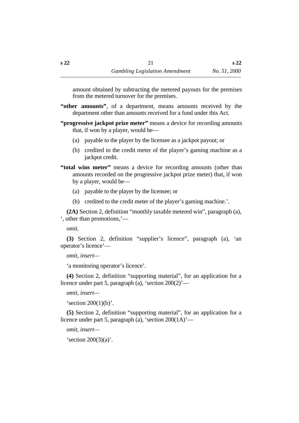amount obtained by subtracting the metered payouts for the premises from the metered turnover for the premises.

- **"other amounts"**, of a department, means amounts received by the department other than amounts received for a fund under this Act.
- **"progressive jackpot prize meter"** means a device for recording amounts that, if won by a player, would be—
	- (a) payable to the player by the licensee as a jackpot payout; or
	- (b) credited to the credit meter of the player's gaming machine as a jackpot credit.
- **"total wins meter"** means a device for recording amounts (other than amounts recorded on the progressive jackpot prize meter) that, if won by a player, would be—
	- (a) payable to the player by the licensee; or
	- (b) credited to the credit meter of the player's gaming machine.'.

**(2A)** Section 2, definition "monthly taxable metered win", paragraph (a), ', other than promotions,'—

*omit*.

**(3)** Section 2, definition "supplier's licence", paragraph (a), 'an operator's licence'—

*omit, insert—*

'a monitoring operator's licence'.

**(4)** Section 2, definition "supporting material", for an application for a licence under part 5, paragraph (a), 'section 200(2)'—

```
omit, insert—
```
's ection  $200(1)(b)$ '.

**(5)** Section 2, definition "supporting material", for an application for a licence under part 5, paragraph (a), 'section 200(1A)'—

*omit, insert—*

's ection  $200(3)(a)$ '.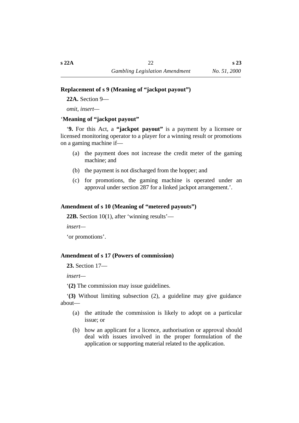#### **˙Replacement of s 9 (Meaning of "jackpot payout")**

**22A.** Section 9—

*omit, insert—*

### ˙'**Meaning of "jackpot payout"**

'**9.** For this Act, a **"jackpot payout"** is a payment by a licensee or licensed monitoring operator to a player for a winning result or promotions on a gaming machine if—

- (a) the payment does not increase the credit meter of the gaming machine; and
- (b) the payment is not discharged from the hopper; and
- (c) for promotions, the gaming machine is operated under an approval under section 287 for a linked jackpot arrangement.'.

## **˙Amendment of s 10 (Meaning of "metered payouts")**

**22B.** Section 10(1), after 'winning results'—

*insert—*

'or promotions'.

#### **˙Amendment of s 17 (Powers of commission)**

**23.** Section 17—

*insert—*

'**(2)** The commission may issue guidelines.

'**(3)** Without limiting subsection (2), a guideline may give guidance about—

- (a) the attitude the commission is likely to adopt on a particular issue; or
- (b) how an applicant for a licence, authorisation or approval should deal with issues involved in the proper formulation of the application or supporting material related to the application.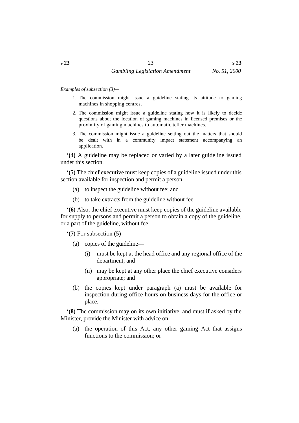*Examples of subsection (3)—*

- 1. The commission might issue a guideline stating its attitude to gaming machines in shopping centres.
- 2. The commission might issue a guideline stating how it is likely to decide questions about the location of gaming machines in licensed premises or the proximity of gaming machines to automatic teller machines.
- 3. The commission might issue a guideline setting out the matters that should be dealt with in a community impact statement accompanying an application.

'**(4)** A guideline may be replaced or varied by a later guideline issued under this section.

'**(5)** The chief executive must keep copies of a guideline issued under this section available for inspection and permit a person—

- (a) to inspect the guideline without fee; and
- (b) to take extracts from the guideline without fee.

'**(6)** Also, the chief executive must keep copies of the guideline available for supply to persons and permit a person to obtain a copy of the guideline, or a part of the guideline, without fee.

'**(7)** For subsection (5)—

- (a) copies of the guideline—
	- (i) must be kept at the head office and any regional office of the department; and
	- (ii) may be kept at any other place the chief executive considers appropriate; and
- (b) the copies kept under paragraph (a) must be available for inspection during office hours on business days for the office or place.

'**(8)** The commission may on its own initiative, and must if asked by the Minister, provide the Minister with advice on—

(a) the operation of this Act, any other gaming Act that assigns functions to the commission; or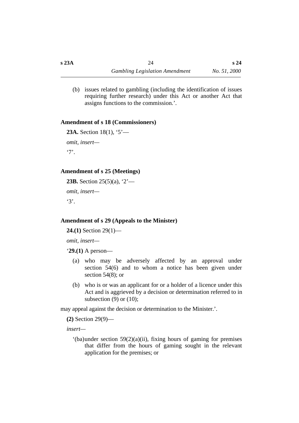(b) issues related to gambling (including the identification of issues requiring further research) under this Act or another Act that assigns functions to the commission.'.

## **˙Amendment of s 18 (Commissioners)**

```
23A. Section 18(1), '5'—
omit, insert—
'7'.
```
## **˙Amendment of s 25 (Meetings)**

**23B.** Section 25(5)(a), '2' *omit, insert—*  $'3'$ .

## **˙Amendment of s 29 (Appeals to the Minister)**

**24.(1)** Section 29(1)—

*omit, insert—*

'**29.(1)** A person—

- (a) who may be adversely affected by an approval under section 54(6) and to whom a notice has been given under section 54(8); or
- (b) who is or was an applicant for or a holder of a licence under this Act and is aggrieved by a decision or determination referred to in subsection  $(9)$  or  $(10)$ ;

may appeal against the decision or determination to the Minister.'.

**(2)** Section 29(9)—

*insert—*

 $'(ba)$ under section 59(2)(a)(ii), fixing hours of gaming for premises that differ from the hours of gaming sought in the relevant application for the premises; or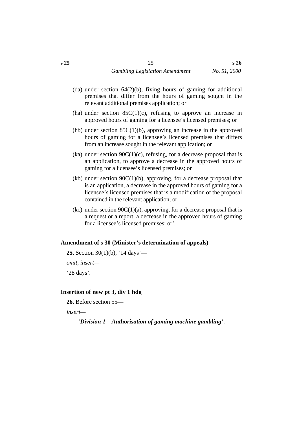- (da) under section 64(2)(b), fixing hours of gaming for additional premises that differ from the hours of gaming sought in the relevant additional premises application; or
- (ha) under section  $85C(1)(c)$ , refusing to approve an increase in approved hours of gaming for a licensee's licensed premises; or
- (hb) under section 85C(1)(b), approving an increase in the approved hours of gaming for a licensee's licensed premises that differs from an increase sought in the relevant application; or
- (ka) under section  $90C(1)(c)$ , refusing, for a decrease proposal that is an application, to approve a decrease in the approved hours of gaming for a licensee's licensed premises; or
- (kb) under section  $90C(1)(b)$ , approving, for a decrease proposal that is an application, a decrease in the approved hours of gaming for a licensee's licensed premises that is a modification of the proposal contained in the relevant application; or
- (kc) under section  $90C(1)(a)$ , approving, for a decrease proposal that is a request or a report, a decrease in the approved hours of gaming for a licensee's licensed premises; or'.

#### **˙Amendment of s 30 (Minister's determination of appeals)**

```
25. Section 30(1)(b), '14 days'—
```
*omit, insert—*

'28 days'.

## **˙Insertion of new pt 3, div 1 hdg**

**26.** Before section 55—

*insert—*

'*Division 1—Authorisation of gaming machine gambling*'.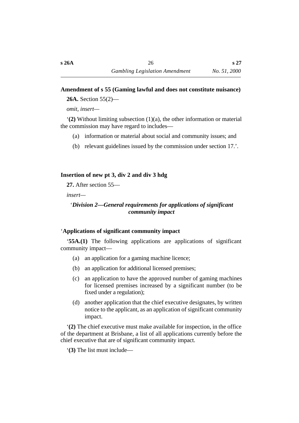## **˙Amendment of s 55 (Gaming lawful and does not constitute nuisance)**

**26A.** Section 55(2)—

*omit, insert—*

'**(2)** Without limiting subsection (1)(a), the other information or material the commission may have regard to includes—

- (a) information or material about social and community issues; and
- (b) relevant guidelines issued by the commission under section 17.'.

## **˙Insertion of new pt 3, div 2 and div 3 hdg**

**27.** After section 55—

*insert—*

## †'*Division 2—General requirements for applications of significant community impact*

## ˙'**Applications of significant community impact**

'**55A.(1)** The following applications are applications of significant community impact—

- (a) an application for a gaming machine licence;
- (b) an application for additional licensed premises;
- (c) an application to have the approved number of gaming machines for licensed premises increased by a significant number (to be fixed under a regulation);
- (d) another application that the chief executive designates, by written notice to the applicant, as an application of significant community impact.

'**(2)** The chief executive must make available for inspection, in the office of the department at Brisbane, a list of all applications currently before the chief executive that are of significant community impact.

'**(3)** The list must include—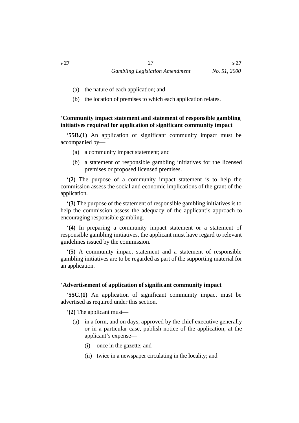**s 27**

- (a) the nature of each application; and
- (b) the location of premises to which each application relates.

˙'**Community impact statement and statement of responsible gambling initiatives required for application of significant community impact**

'**55B.(1)** An application of significant community impact must be accompanied by—

- (a) a community impact statement; and
- (b) a statement of responsible gambling initiatives for the licensed premises or proposed licensed premises.

'**(2)** The purpose of a community impact statement is to help the commission assess the social and economic implications of the grant of the application.

'**(3)** The purpose of the statement of responsible gambling initiatives is to help the commission assess the adequacy of the applicant's approach to encouraging responsible gambling.

'**(4)** In preparing a community impact statement or a statement of responsible gambling initiatives, the applicant must have regard to relevant guidelines issued by the commission.

'**(5)** A community impact statement and a statement of responsible gambling initiatives are to be regarded as part of the supporting material for an application.

#### ˙'**Advertisement of application of significant community impact**

'**55C.(1)** An application of significant community impact must be advertised as required under this section.

'**(2)** The applicant must—

- (a) in a form, and on days, approved by the chief executive generally or in a particular case, publish notice of the application, at the applicant's expense—
	- (i) once in the gazette; and
	- (ii) twice in a newspaper circulating in the locality; and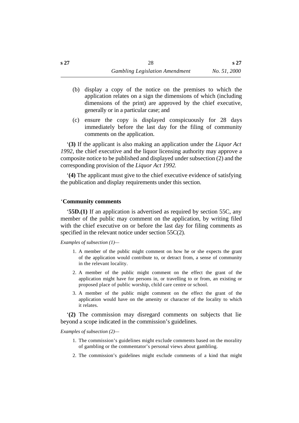- (b) display a copy of the notice on the premises to which the application relates on a sign the dimensions of which (including dimensions of the print) are approved by the chief executive, generally or in a particular case; and
- (c) ensure the copy is displayed conspicuously for 28 days immediately before the last day for the filing of community comments on the application.

'**(3)** If the applicant is also making an application under the *Liquor Act 1992*, the chief executive and the liquor licensing authority may approve a composite notice to be published and displayed under subsection (2) and the corresponding provision of the *Liquor Act 1992*.

'**(4)** The applicant must give to the chief executive evidence of satisfying the publication and display requirements under this section.

#### ˙'**Community comments**

'**55D.(1)** If an application is advertised as required by section 55C, any member of the public may comment on the application, by writing filed with the chief executive on or before the last day for filing comments as specified in the relevant notice under section 55C(2).

*Examples of subsection (1)—*

- 1. A member of the public might comment on how he or she expects the grant of the application would contribute to, or detract from, a sense of community in the relevant locality.
- 2. A member of the public might comment on the effect the grant of the application might have for persons in, or travelling to or from, an existing or proposed place of public worship, child care centre or school.
- 3. A member of the public might comment on the effect the grant of the application would have on the amenity or character of the locality to which it relates.

'**(2)** The commission may disregard comments on subjects that lie beyond a scope indicated in the commission's guidelines.

#### *Examples of subsection (2)—*

- 1. The commission's guidelines might exclude comments based on the morality of gambling or the commentator's personal views about gambling.
- 2. The commission's guidelines might exclude comments of a kind that might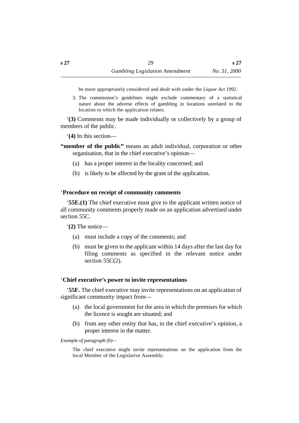be more appropriately considered and dealt with under the *Liquor Act 1992*.

3. The commission's guidelines might exclude commentary of a statistical nature about the adverse effects of gambling in locations unrelated to the location to which the application relates.

'**(3)** Comments may be made individually or collectively by a group of members of the public.

'**(4)** In this section—

- **"member of the public"** means an adult individual, corporation or other organisation, that in the chief executive's opinion—
	- (a) has a proper interest in the locality concerned; and
	- (b) is likely to be affected by the grant of the application.

#### ˙'**Procedure on receipt of community comments**

'**55E.(1)** The chief executive must give to the applicant written notice of all community comments properly made on an application advertised under section 55C.

'**(2)** The notice—

- (a) must include a copy of the comments; and
- (b) must be given to the applicant within 14 days after the last day for filing comments as specified in the relevant notice under section  $55C(2)$ .

#### ˙'**Chief executive's power to invite representations**

'**55F.** The chief executive may invite representations on an application of significant community impact from—

- (a) the local government for the area in which the premises for which the licence is sought are situated; and
- (b) from any other entity that has, in the chief executive's opinion, a proper interest in the matter.

#### *Example of paragraph (b)—*

The chief executive might invite representations on the application from the local Member of the Legislative Assembly.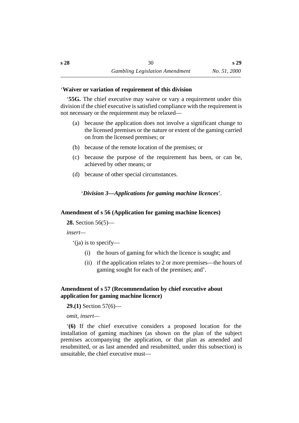#### ˙'**Waiver or variation of requirement of this division**

'**55G.** The chief executive may waive or vary a requirement under this division if the chief executive is satisfied compliance with the requirement is not necessary or the requirement may be relaxed—

- (a) because the application does not involve a significant change to the licensed premises or the nature or extent of the gaming carried on from the licensed premises; or
- (b) because of the remote location of the premises; or
- (c) because the purpose of the requirement has been, or can be, achieved by other means; or
- (d) because of other special circumstances.

† '*Division 3—Applications for gaming machine licences*'.

#### **˙Amendment of s 56 (Application for gaming machine licences)**

**28.** Section 56(5)—

*insert—*

'(ja) is to specify—

- (i) the hours of gaming for which the licence is sought; and
- (ii) if the application relates to 2 or more premises—the hours of gaming sought for each of the premises; and'.

#### **˙Amendment of s 57 (Recommendation by chief executive about application for gaming machine licence)**

**29.(1)** Section 57(6)—

*omit, insert—*

'**(6)** If the chief executive considers a proposed location for the installation of gaming machines (as shown on the plan of the subject premises accompanying the application, or that plan as amended and resubmitted, or as last amended and resubmitted, under this subsection) is unsuitable, the chief executive must—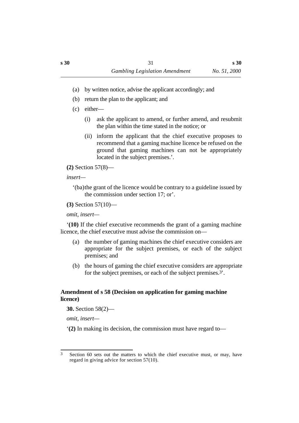- (a) by written notice, advise the applicant accordingly; and
- (b) return the plan to the applicant; and
- (c) either—
	- (i) ask the applicant to amend, or further amend, and resubmit the plan within the time stated in the notice; or
	- (ii) inform the applicant that the chief executive proposes to recommend that a gaming machine licence be refused on the ground that gaming machines can not be appropriately located in the subject premises.'.

**(2)** Section 57(8)—

*insert—*

'(ba)the grant of the licence would be contrary to a guideline issued by the commission under section 17; or'.

**(3)** Section 57(10)—

*omit, insert—*

'**(10)** If the chief executive recommends the grant of a gaming machine licence, the chief executive must advise the commission on—

- (a) the number of gaming machines the chief executive considers are appropriate for the subject premises, or each of the subject premises; and
- (b) the hours of gaming the chief executive considers are appropriate for the subject premises, or each of the subject premises.3'.

## **˙Amendment of s 58 (Decision on application for gaming machine licence)**

**30.** Section 58(2)—

*omit, insert—*

'**(2)** In making its decision, the commission must have regard to—

<sup>3</sup> Section 60 sets out the matters to which the chief executive must, or may, have regard in giving advice for section 57(10).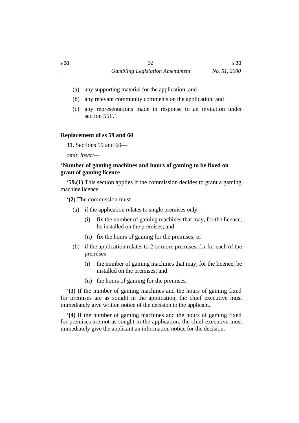- (a) any supporting material for the application; and
- (b) any relevant community comments on the application; and
- (c) any representations made in response to an invitation under section 55F.'.

#### **˙Replacement of ss 59 and 60**

**31.** Sections 59 and 60—

*omit, insert—*

## ˙'**Number of gaming machines and hours of gaming to be fixed on grant of gaming licence**

'**59.(1)** This section applies if the commission decides to grant a gaming machine licence.

'**(2)** The commission must—

- (a) if the application relates to single premises only—
	- (i) fix the number of gaming machines that may, for the licence, be installed on the premises; and
	- (ii) fix the hours of gaming for the premises; or
- (b) if the application relates to 2 or more premises, fix for each of the premises—
	- (i) the number of gaming machines that may, for the licence, be installed on the premises; and
	- (ii) the hours of gaming for the premises.

'**(3)** If the number of gaming machines and the hours of gaming fixed for premises are as sought in the application, the chief executive must immediately give written notice of the decision to the applicant.

'**(4)** If the number of gaming machines and the hours of gaming fixed for premises are not as sought in the application, the chief executive must immediately give the applicant an information notice for the decision.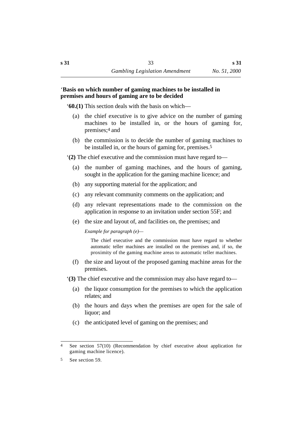#### ˙'**Basis on which number of gaming machines to be installed in premises and hours of gaming are to be decided**

'**60.(1)** This section deals with the basis on which—

- (a) the chief executive is to give advice on the number of gaming machines to be installed in, or the hours of gaming for, premises;4 and
- (b) the commission is to decide the number of gaming machines to be installed in, or the hours of gaming for, premises.5

'**(2)** The chief executive and the commission must have regard to—

- (a) the number of gaming machines, and the hours of gaming, sought in the application for the gaming machine licence; and
- (b) any supporting material for the application; and
- (c) any relevant community comments on the application; and
- (d) any relevant representations made to the commission on the application in response to an invitation under section 55F; and
- (e) the size and layout of, and facilities on, the premises; and

*Example for paragraph (e)—*

The chief executive and the commission must have regard to whether automatic teller machines are installed on the premises and, if so, the proximity of the gaming machine areas to automatic teller machines.

(f) the size and layout of the proposed gaming machine areas for the premises.

'**(3)** The chief executive and the commission may also have regard to—

- (a) the liquor consumption for the premises to which the application relates; and
- (b) the hours and days when the premises are open for the sale of liquor; and
- (c) the anticipated level of gaming on the premises; and

<sup>4</sup> See section 57(10) (Recommendation by chief executive about application for gaming machine licence).

<sup>5</sup> See section 59.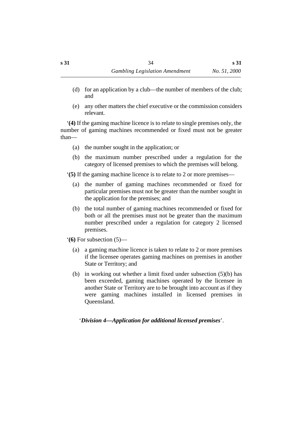- (d) for an application by a club—the number of members of the club; and
- (e) any other matters the chief executive or the commission considers relevant.

'**(4)** If the gaming machine licence is to relate to single premises only, the number of gaming machines recommended or fixed must not be greater than—

- (a) the number sought in the application; or
- (b) the maximum number prescribed under a regulation for the category of licensed premises to which the premises will belong.

'**(5)** If the gaming machine licence is to relate to 2 or more premises—

- (a) the number of gaming machines recommended or fixed for particular premises must not be greater than the number sought in the application for the premises; and
- (b) the total number of gaming machines recommended or fixed for both or all the premises must not be greater than the maximum number prescribed under a regulation for category 2 licensed premises.
- '**(6)** For subsection (5)—
	- (a) a gaming machine licence is taken to relate to 2 or more premises if the licensee operates gaming machines on premises in another State or Territory; and
	- (b) in working out whether a limit fixed under subsection (5)(b) has been exceeded, gaming machines operated by the licensee in another State or Territory are to be brought into account as if they were gaming machines installed in licensed premises in Queensland.

† '*Division 4—Application for additional licensed premises*'.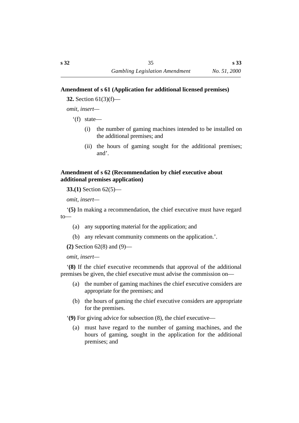## **˙Amendment of s 61 (Application for additional licensed premises)**

**32.** Section 61(3)(f)—

*omit, insert—*

'(f) state—

- (i) the number of gaming machines intended to be installed on the additional premises; and
- (ii) the hours of gaming sought for the additional premises; and'.

## **˙Amendment of s 62 (Recommendation by chief executive about additional premises application)**

**33.(1)** Section 62(5)—

*omit, insert—*

'**(5)** In making a recommendation, the chief executive must have regard to—

- (a) any supporting material for the application; and
- (b) any relevant community comments on the application.'.

```
(2) Section 62(8) and (9)—
```
*omit, insert—*

'**(8)** If the chief executive recommends that approval of the additional premises be given, the chief executive must advise the commission on—

- (a) the number of gaming machines the chief executive considers are appropriate for the premises; and
- (b) the hours of gaming the chief executive considers are appropriate for the premises.

'**(9)** For giving advice for subsection (8), the chief executive—

(a) must have regard to the number of gaming machines, and the hours of gaming, sought in the application for the additional premises; and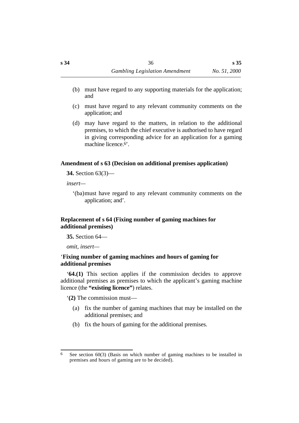- (b) must have regard to any supporting materials for the application; and
- (c) must have regard to any relevant community comments on the application; and
- (d) may have regard to the matters, in relation to the additional premises, to which the chief executive is authorised to have regard in giving corresponding advice for an application for a gaming machine licence.6'.

## **˙Amendment of s 63 (Decision on additional premises application)**

**34.** Section 63(3)—

*insert—*

'(ba)must have regard to any relevant community comments on the application; and'.

## **˙Replacement of s 64 (Fixing number of gaming machines for additional premises)**

**35.** Section 64—

*omit, insert—*

## ˙'**Fixing number of gaming machines and hours of gaming for additional premises**

'**64.(1)** This section applies if the commission decides to approve additional premises as premises to which the applicant's gaming machine licence (the **"existing licence"**) relates.

'**(2)** The commission must—

- (a) fix the number of gaming machines that may be installed on the additional premises; and
- (b) fix the hours of gaming for the additional premises.

<sup>6</sup> See section 60(3) (Basis on which number of gaming machines to be installed in premises and hours of gaming are to be decided).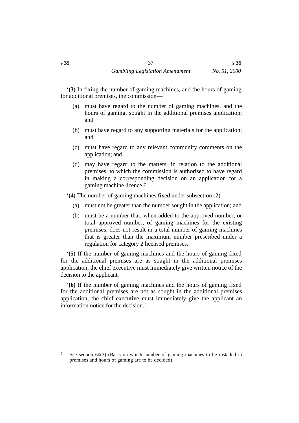'**(3)** In fixing the number of gaming machines, and the hours of gaming for additional premises, the commission—

- (a) must have regard to the number of gaming machines, and the hours of gaming, sought in the additional premises application; and
- (b) must have regard to any supporting materials for the application; and
- (c) must have regard to any relevant community comments on the application; and
- (d) may have regard to the matters, in relation to the additional premises, to which the commission is authorised to have regard in making a corresponding decision on an application for a gaming machine licence.7

'**(4)** The number of gaming machines fixed under subsection (2)—

- (a) must not be greater than the number sought in the application; and
- (b) must be a number that, when added to the approved number, or total approved number, of gaming machines for the existing premises, does not result in a total number of gaming machines that is greater than the maximum number prescribed under a regulation for category 2 licensed premises.

'**(5)** If the number of gaming machines and the hours of gaming fixed for the additional premises are as sought in the additional premises application, the chief executive must immediately give written notice of the decision to the applicant.

'**(6)** If the number of gaming machines and the hours of gaming fixed for the additional premises are not as sought in the additional premises application, the chief executive must immediately give the applicant an information notice for the decision.'.

<sup>7</sup> See section 60(3) (Basis on which number of gaming machines to be installed in premises and hours of gaming are to be decided).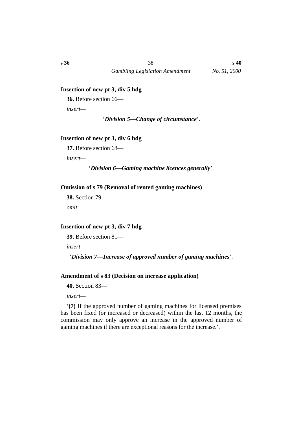#### **˙Insertion of new pt 3, div 5 hdg**

**36.** Before section 66—

*insert—*

'*Division 5—Change of circumstance*'.

### **˙Insertion of new pt 3, div 6 hdg**

**37.** Before section 68—

*insert—*

'*Division 6—Gaming machine licences generally*'.

#### **˙Omission of s 79 (Removal of rented gaming machines)**

**38.** Section 79 *omit.*

#### **˙Insertion of new pt 3, div 7 hdg**

**39.** Before section 81—

*insert—*

'*Division 7—Increase of approved number of gaming machines*'.

#### **˙Amendment of s 83 (Decision on increase application)**

**40.** Section 83—

*insert—*

'**(7)** If the approved number of gaming machines for licensed premises has been fixed (or increased or decreased) within the last 12 months, the commission may only approve an increase in the approved number of gaming machines if there are exceptional reasons for the increase.'.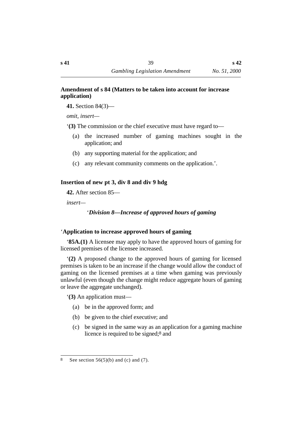## **˙Amendment of s 84 (Matters to be taken into account for increase application)**

**41.** Section 84(3)—

*omit, insert—*

'**(3)** The commission or the chief executive must have regard to—

- (a) the increased number of gaming machines sought in the application; and
- (b) any supporting material for the application; and
- (c) any relevant community comments on the application.'.

# **˙Insertion of new pt 3, div 8 and div 9 hdg**

**42.** After section 85—

*insert—*

# †'*Division 8—Increase of approved hours of gaming*

# ˙'**Application to increase approved hours of gaming**

'**85A.(1)** A licensee may apply to have the approved hours of gaming for licensed premises of the licensee increased.

'**(2)** A proposed change to the approved hours of gaming for licensed premises is taken to be an increase if the change would allow the conduct of gaming on the licensed premises at a time when gaming was previously unlawful (even though the change might reduce aggregate hours of gaming or leave the aggregate unchanged).

'**(3)** An application must—

- (a) be in the approved form; and
- (b) be given to the chief executive; and
- (c) be signed in the same way as an application for a gaming machine licence is required to be signed;8 and

<sup>8</sup> See section  $56(5)(b)$  and (c) and (7).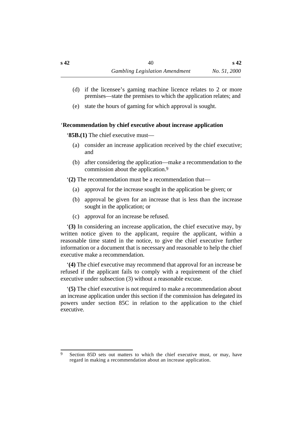- (d) if the licensee's gaming machine licence relates to 2 or more premises—state the premises to which the application relates; and
- (e) state the hours of gaming for which approval is sought.

## ˙'**Recommendation by chief executive about increase application**

'**85B.(1)** The chief executive must—

- (a) consider an increase application received by the chief executive; and
- (b) after considering the application—make a recommendation to the commission about the application.9

'**(2)** The recommendation must be a recommendation that—

- (a) approval for the increase sought in the application be given; or
- (b) approval be given for an increase that is less than the increase sought in the application; or
- (c) approval for an increase be refused.

'**(3)** In considering an increase application, the chief executive may, by written notice given to the applicant, require the applicant, within a reasonable time stated in the notice, to give the chief executive further information or a document that is necessary and reasonable to help the chief executive make a recommendation.

'**(4)** The chief executive may recommend that approval for an increase be refused if the applicant fails to comply with a requirement of the chief executive under subsection (3) without a reasonable excuse.

'**(5)** The chief executive is not required to make a recommendation about an increase application under this section if the commission has delegated its powers under section 85C in relation to the application to the chief executive.

<sup>9</sup> Section 85D sets out matters to which the chief executive must, or may, have regard in making a recommendation about an increase application.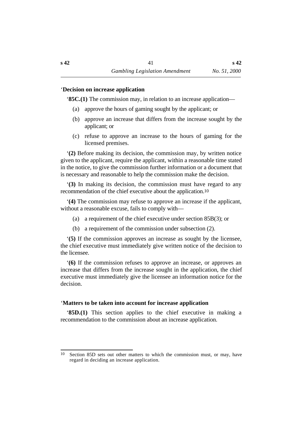#### ˙'**Decision on increase application**

'**85C.(1)** The commission may, in relation to an increase application—

- (a) approve the hours of gaming sought by the applicant; or
- (b) approve an increase that differs from the increase sought by the applicant; or
- (c) refuse to approve an increase to the hours of gaming for the licensed premises.

'**(2)** Before making its decision, the commission may, by written notice given to the applicant, require the applicant, within a reasonable time stated in the notice, to give the commission further information or a document that is necessary and reasonable to help the commission make the decision.

'**(3)** In making its decision, the commission must have regard to any recommendation of the chief executive about the application.10

'**(4)** The commission may refuse to approve an increase if the applicant, without a reasonable excuse, fails to comply with—

- (a) a requirement of the chief executive under section 85B(3); or
- (b) a requirement of the commission under subsection (2).

'**(5)** If the commission approves an increase as sought by the licensee, the chief executive must immediately give written notice of the decision to the licensee.

'**(6)** If the commission refuses to approve an increase, or approves an increase that differs from the increase sought in the application, the chief executive must immediately give the licensee an information notice for the decision.

# ˙'**Matters to be taken into account for increase application**

'**85D.(1)** This section applies to the chief executive in making a recommendation to the commission about an increase application.

<sup>10</sup> Section 85D sets out other matters to which the commission must, or may, have regard in deciding an increase application.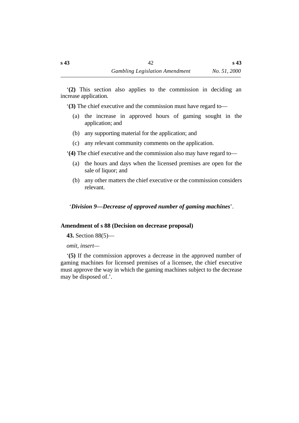'**(2)** This section also applies to the commission in deciding an increase application.

'**(3)** The chief executive and the commission must have regard to—

- (a) the increase in approved hours of gaming sought in the application; and
- (b) any supporting material for the application; and
- (c) any relevant community comments on the application.

'**(4)** The chief executive and the commission also may have regard to—

- (a) the hours and days when the licensed premises are open for the sale of liquor; and
- (b) any other matters the chief executive or the commission considers relevant.

†'*Division 9—Decrease of approved number of gaming machines*'.

## **˙Amendment of s 88 (Decision on decrease proposal)**

**43.** Section 88(5)—

*omit, insert—*

'**(5)** If the commission approves a decrease in the approved number of gaming machines for licensed premises of a licensee, the chief executive must approve the way in which the gaming machines subject to the decrease may be disposed of.'.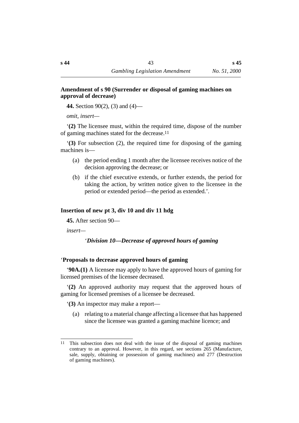## **˙Amendment of s 90 (Surrender or disposal of gaming machines on approval of decrease)**

**44.** Section 90(2), (3) and (4)—

*omit, insert—*

'**(2)** The licensee must, within the required time, dispose of the number of gaming machines stated for the decrease.11

'**(3)** For subsection (2), the required time for disposing of the gaming machines is—

- (a) the period ending 1 month after the licensee receives notice of the decision approving the decrease; or
- (b) if the chief executive extends, or further extends, the period for taking the action, by written notice given to the licensee in the period or extended period—the period as extended.'.

# **˙Insertion of new pt 3, div 10 and div 11 hdg**

**45.** After section 90—

*insert—*

# †'*Division 10—Decrease of approved hours of gaming*

# ˙'**Proposals to decrease approved hours of gaming**

'**90A.(1)** A licensee may apply to have the approved hours of gaming for licensed premises of the licensee decreased.

'**(2)** An approved authority may request that the approved hours of gaming for licensed premises of a licensee be decreased.

'**(3)** An inspector may make a report—

(a) relating to a material change affecting a licensee that has happened since the licensee was granted a gaming machine licence; and

<sup>11</sup> This subsection does not deal with the issue of the disposal of gaming machines contrary to an approval. However, in this regard, see sections 265 (Manufacture, sale, supply, obtaining or possession of gaming machines) and 277 (Destruction of gaming machines).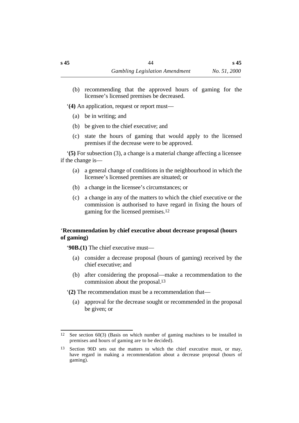(b) recommending that the approved hours of gaming for the licensee's licensed premises be decreased.

'**(4)** An application, request or report must—

- (a) be in writing; and
- (b) be given to the chief executive; and
- (c) state the hours of gaming that would apply to the licensed premises if the decrease were to be approved.

'**(5)** For subsection (3), a change is a material change affecting a licensee if the change is—

- (a) a general change of conditions in the neighbourhood in which the licensee's licensed premises are situated; or
- (b) a change in the licensee's circumstances; or
- (c) a change in any of the matters to which the chief executive or the commission is authorised to have regard in fixing the hours of gaming for the licensed premises.12

## ˙'**Recommendation by chief executive about decrease proposal (hours of gaming)**

'**90B.(1)** The chief executive must—

- (a) consider a decrease proposal (hours of gaming) received by the chief executive; and
- (b) after considering the proposal—make a recommendation to the commission about the proposal.13
- '**(2)** The recommendation must be a recommendation that—
	- (a) approval for the decrease sought or recommended in the proposal be given; or

<sup>12</sup> See section 60(3) (Basis on which number of gaming machines to be installed in premises and hours of gaming are to be decided).

<sup>13</sup> Section 90D sets out the matters to which the chief executive must, or may, have regard in making a recommendation about a decrease proposal (hours of gaming).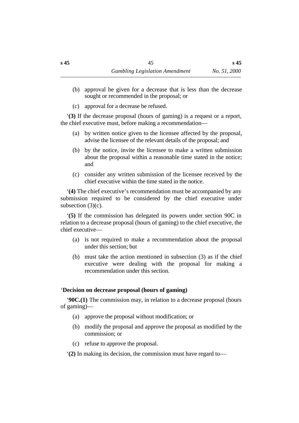- (b) approval be given for a decrease that is less than the decrease sought or recommended in the proposal; or
- (c) approval for a decrease be refused.

'**(3)** If the decrease proposal (hours of gaming) is a request or a report, the chief executive must, before making a recommendation—

- (a) by written notice given to the licensee affected by the proposal, advise the licensee of the relevant details of the proposal; and
- (b) by the notice, invite the licensee to make a written submission about the proposal within a reasonable time stated in the notice; and
- (c) consider any written submission of the licensee received by the chief executive within the time stated in the notice.

'**(4)** The chief executive's recommendation must be accompanied by any submission required to be considered by the chief executive under subsection (3)(c).

'**(5)** If the commission has delegated its powers under section 90C in relation to a decrease proposal (hours of gaming) to the chief executive, the chief executive—

- (a) is not required to make a recommendation about the proposal under this section; but
- (b) must take the action mentioned in subsection (3) as if the chief executive were dealing with the proposal for making a recommendation under this section.

## ˙'**Decision on decrease proposal (hours of gaming)**

'**90C.(1)** The commission may, in relation to a decrease proposal (hours of gaming)—

- (a) approve the proposal without modification; or
- (b) modify the proposal and approve the proposal as modified by the commission; or
- (c) refuse to approve the proposal.

'**(2)** In making its decision, the commission must have regard to—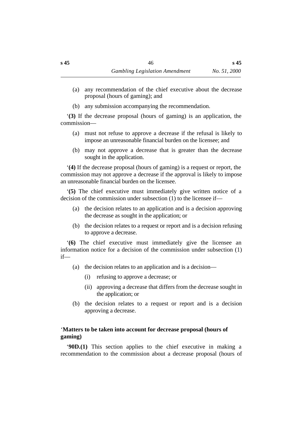- (a) any recommendation of the chief executive about the decrease proposal (hours of gaming); and
- (b) any submission accompanying the recommendation.

'**(3)** If the decrease proposal (hours of gaming) is an application, the commission—

- (a) must not refuse to approve a decrease if the refusal is likely to impose an unreasonable financial burden on the licensee; and
- (b) may not approve a decrease that is greater than the decrease sought in the application.

'**(4)** If the decrease proposal (hours of gaming) is a request or report, the commission may not approve a decrease if the approval is likely to impose an unreasonable financial burden on the licensee.

'**(5)** The chief executive must immediately give written notice of a decision of the commission under subsection (1) to the licensee if—

- (a) the decision relates to an application and is a decision approving the decrease as sought in the application; or
- (b) the decision relates to a request or report and is a decision refusing to approve a decrease.

'**(6)** The chief executive must immediately give the licensee an information notice for a decision of the commission under subsection (1) if—

- (a) the decision relates to an application and is a decision—
	- (i) refusing to approve a decrease; or
	- (ii) approving a decrease that differs from the decrease sought in the application; or
- (b) the decision relates to a request or report and is a decision approving a decrease.

## ˙'**Matters to be taken into account for decrease proposal (hours of gaming)**

'**90D.(1)** This section applies to the chief executive in making a recommendation to the commission about a decrease proposal (hours of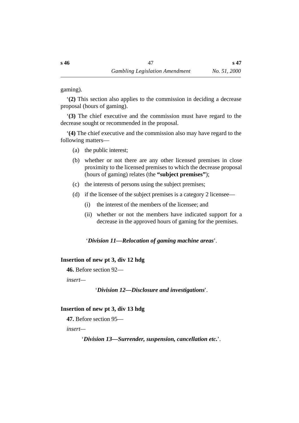gaming).

'**(2)** This section also applies to the commission in deciding a decrease proposal (hours of gaming).

'**(3)** The chief executive and the commission must have regard to the decrease sought or recommended in the proposal.

'**(4)** The chief executive and the commission also may have regard to the following matters—

- (a) the public interest;
- (b) whether or not there are any other licensed premises in close proximity to the licensed premises to which the decrease proposal (hours of gaming) relates (the **"subject premises"**);
- (c) the interests of persons using the subject premises;
- (d) if the licensee of the subject premises is a category 2 licensee—
	- (i) the interest of the members of the licensee; and
	- (ii) whether or not the members have indicated support for a decrease in the approved hours of gaming for the premises.

†'*Division 11—Relocation of gaming machine areas*'.

#### **˙Insertion of new pt 3, div 12 hdg**

**46.** Before section 92—

*insert—*

'*Division 12—Disclosure and investigations*'.

#### **˙Insertion of new pt 3, div 13 hdg**

**47.** Before section 95—

*insert—*

'*Division 13—Surrender, suspension, cancellation etc.*'.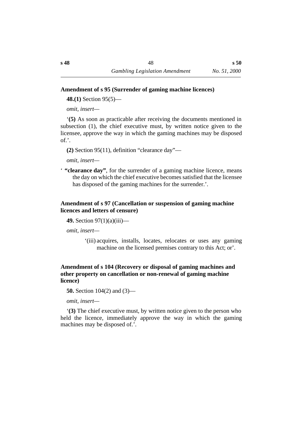## **˙Amendment of s 95 (Surrender of gaming machine licences)**

**48.(1)** Section 95(5)—

*omit, insert—*

'**(5)** As soon as practicable after receiving the documents mentioned in subsection (1), the chief executive must, by written notice given to the licensee, approve the way in which the gaming machines may be disposed of.'.

**(2)** Section 95(11), definition "clearance day"—

*omit, insert—*

' **"clearance day"**, for the surrender of a gaming machine licence, means the day on which the chief executive becomes satisfied that the licensee has disposed of the gaming machines for the surrender.'.

## **˙Amendment of s 97 (Cancellation or suspension of gaming machine licences and letters of censure)**

**49.** Section 97(1)(a)(iii)—

*omit, insert—*

'(iii) acquires, installs, locates, relocates or uses any gaming machine on the licensed premises contrary to this Act; or'.

## **˙Amendment of s 104 (Recovery or disposal of gaming machines and other property on cancellation or non-renewal of gaming machine licence)**

**50.** Section 104(2) and (3)—

*omit, insert—*

'**(3)** The chief executive must, by written notice given to the person who held the licence, immediately approve the way in which the gaming machines may be disposed of.'.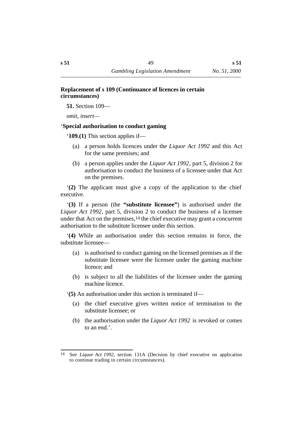## **˙Replacement of s 109 (Continuance of licences in certain circumstances)**

**51.** Section 109—

*omit, insert—*

# ˙'**Special authorisation to conduct gaming**

'**109.(1)** This section applies if—

- (a) a person holds licences under the *Liquor Act 1992* and this Act for the same premises; and
- (b) a person applies under the *Liquor Act 1992*, part 5, division 2 for authorisation to conduct the business of a licensee under that Act on the premises.

'**(2)** The applicant must give a copy of the application to the chief executive.

'**(3)** If a person (the **"substitute licensee"**) is authorised under the *Liquor Act 1992*, part 5, division 2 to conduct the business of a licensee under that Act on the premises,14 the chief executive may grant a concurrent authorisation to the substitute licensee under this section.

'**(4)** While an authorisation under this section remains in force, the substitute licensee—

- (a) is authorised to conduct gaming on the licensed premises as if the substitute licensee were the licensee under the gaming machine licence; and
- (b) is subject to all the liabilities of the licensee under the gaming machine licence.

'**(5)** An authorisation under this section is terminated if—

- (a) the chief executive gives written notice of termination to the substitute licensee; or
- (b) the authorisation under the *Liquor Act 1992* is revoked or comes to an end.'.

<sup>14</sup> See *Liquor Act 1992*, section 131A (Decision by chief executive on application to continue trading in certain circumstances).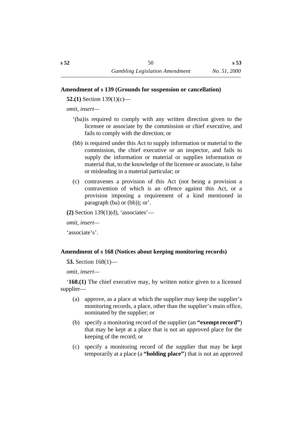### **˙Amendment of s 139 (Grounds for suspension or cancellation)**

**52.(1)** Section 139(1)(c)—

*omit, insert—*

- '(ba)is required to comply with any written direction given to the licensee or associate by the commission or chief executive, and fails to comply with the direction; or
- (bb) is required under this Act to supply information or material to the commission, the chief executive or an inspector, and fails to supply the information or material or supplies information or material that, to the knowledge of the licensee or associate, is false or misleading in a material particular; or
- (c) contravenes a provision of this Act (not being a provision a contravention of which is an offence against this Act, or a provision imposing a requirement of a kind mentioned in paragraph (ba) or (bb)); or'.

**(2)** Section 139(1)(d), 'associates'—

*omit, insert—*

'associate's'.

## **˙Amendment of s 168 (Notices about keeping monitoring records)**

**53.** Section 168(1)—

*omit, insert—*

'**168.(1)** The chief executive may, by written notice given to a licensed supplier—

- (a) approve, as a place at which the supplier may keep the supplier's monitoring records, a place, other than the supplier's main office, nominated by the supplier; or
- (b) specify a monitoring record of the supplier (an **"exempt record"**) that may be kept at a place that is not an approved place for the keeping of the record; or
- (c) specify a monitoring record of the supplier that may be kept temporarily at a place (a **"holding place"**) that is not an approved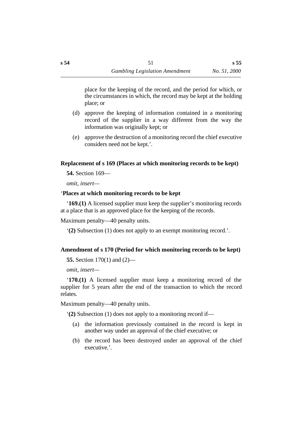**s 55**

- (d) approve the keeping of information contained in a monitoring record of the supplier in a way different from the way the information was originally kept; or
- (e) approve the destruction of a monitoring record the chief executive considers need not be kept.'.

## **˙Replacement of s 169 (Places at which monitoring records to be kept)**

**54.** Section 169—

*omit, insert—*

## ˙'**Places at which monitoring records to be kept**

'**169.(1)** A licensed supplier must keep the supplier's monitoring records at a place that is an approved place for the keeping of the records.

Maximum penalty—40 penalty units.

'**(2)** Subsection (1) does not apply to an exempt monitoring record.'.

## **˙Amendment of s 170 (Period for which monitoring records to be kept)**

```
55. Section 170(1) and (2)—
```
*omit, insert—*

'**170.(1)** A licensed supplier must keep a monitoring record of the supplier for 5 years after the end of the transaction to which the record relates.

Maximum penalty—40 penalty units.

'**(2)** Subsection (1) does not apply to a monitoring record if—

- (a) the information previously contained in the record is kept in another way under an approval of the chief executive; or
- (b) the record has been destroyed under an approval of the chief executive.'.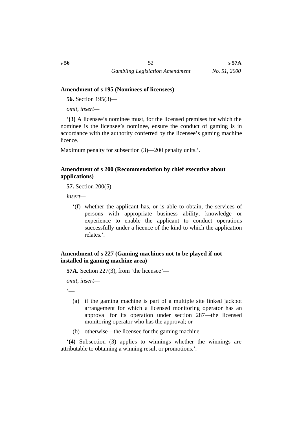#### **˙Amendment of s 195 (Nominees of licensees)**

**56.** Section 195(3)—

*omit, insert—*

'**(3)** A licensee's nominee must, for the licensed premises for which the nominee is the licensee's nominee, ensure the conduct of gaming is in accordance with the authority conferred by the licensee's gaming machine licence.

Maximum penalty for subsection (3)—200 penalty units.'.

## **˙Amendment of s 200 (Recommendation by chief executive about applications)**

**57.** Section 200(5)—

*insert—*

'(f) whether the applicant has, or is able to obtain, the services of persons with appropriate business ability, knowledge or experience to enable the applicant to conduct operations successfully under a licence of the kind to which the application relates.'.

## **˙Amendment of s 227 (Gaming machines not to be played if not installed in gaming machine area)**

**57A.** Section 227(3), from 'the licensee'—

*omit, insert*—

 $\epsilon$ 

- (a) if the gaming machine is part of a multiple site linked jackpot arrangement for which a licensed monitoring operator has an approval for its operation under section 287—the licensed monitoring operator who has the approval; or
- (b) otherwise—the licensee for the gaming machine.

'**(4)** Subsection (3) applies to winnings whether the winnings are attributable to obtaining a winning result or promotions.'.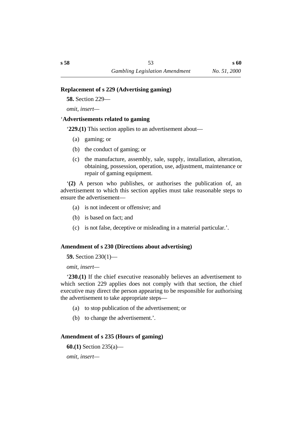### **˙Replacement of s 229 (Advertising gaming)**

**58.** Section 229—

*omit, insert—*

## ˙'**Advertisements related to gaming**

'**229.(1)** This section applies to an advertisement about—

- (a) gaming; or
- (b) the conduct of gaming; or
- (c) the manufacture, assembly, sale, supply, installation, alteration, obtaining, possession, operation, use, adjustment, maintenance or repair of gaming equipment.

'**(2)** A person who publishes, or authorises the publication of, an advertisement to which this section applies must take reasonable steps to ensure the advertisement—

- (a) is not indecent or offensive; and
- (b) is based on fact; and
- (c) is not false, deceptive or misleading in a material particular.'.

## **˙Amendment of s 230 (Directions about advertising)**

## **59.** Section 230(1)—

*omit, insert—*

'**230.(1)** If the chief executive reasonably believes an advertisement to which section 229 applies does not comply with that section, the chief executive may direct the person appearing to be responsible for authorising the advertisement to take appropriate steps—

- (a) to stop publication of the advertisement; or
- (b) to change the advertisement.'.

## **˙Amendment of s 235 (Hours of gaming)**

**60.(1)** Section 235(a)—

*omit, insert—*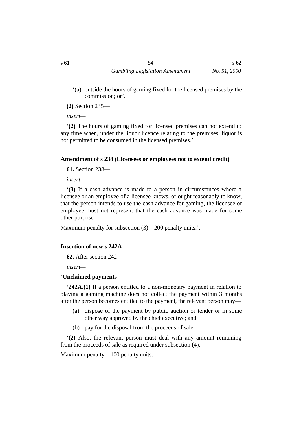'(a) outside the hours of gaming fixed for the licensed premises by the commission; or'.

**(2)** Section 235—

*insert—*

'**(2)** The hours of gaming fixed for licensed premises can not extend to any time when, under the liquor licence relating to the premises, liquor is not permitted to be consumed in the licensed premises.'.

## **˙Amendment of s 238 (Licensees or employees not to extend credit)**

**61.** Section 238—

*insert—*

'**(3)** If a cash advance is made to a person in circumstances where a licensee or an employee of a licensee knows, or ought reasonably to know, that the person intends to use the cash advance for gaming, the licensee or employee must not represent that the cash advance was made for some other purpose.

Maximum penalty for subsection (3)—200 penalty units.'.

# **˙Insertion of new s 242A**

**62.** After section 242—

*insert—*

# ˙'**Unclaimed payments**

'**242A.(1)** If a person entitled to a non-monetary payment in relation to playing a gaming machine does not collect the payment within 3 months after the person becomes entitled to the payment, the relevant person may—

- (a) dispose of the payment by public auction or tender or in some other way approved by the chief executive; and
- (b) pay for the disposal from the proceeds of sale.

'**(2)** Also, the relevant person must deal with any amount remaining from the proceeds of sale as required under subsection (4).

Maximum penalty—100 penalty units.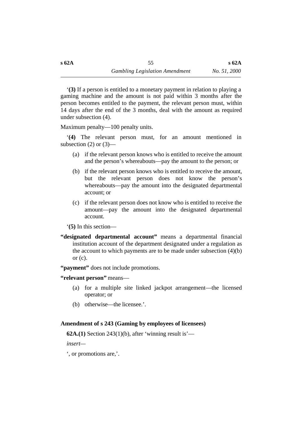'**(3)** If a person is entitled to a monetary payment in relation to playing a gaming machine and the amount is not paid within 3 months after the person becomes entitled to the payment, the relevant person must, within 14 days after the end of the 3 months, deal with the amount as required under subsection (4).

Maximum penalty—100 penalty units.

'**(4)** The relevant person must, for an amount mentioned in subsection  $(2)$  or  $(3)$ —

- (a) if the relevant person knows who is entitled to receive the amount and the person's whereabouts—pay the amount to the person; or
- (b) if the relevant person knows who is entitled to receive the amount, but the relevant person does not know the person's whereabouts—pay the amount into the designated departmental account; or
- (c) if the relevant person does not know who is entitled to receive the amount—pay the amount into the designated departmental account.
- '**(5)** In this section—
- **"designated departmental account"** means a departmental financial institution account of the department designated under a regulation as the account to which payments are to be made under subsection  $(4)(b)$ or  $(c)$ .

**"payment"** does not include promotions.

## **"relevant person"** means—

- (a) for a multiple site linked jackpot arrangement—the licensed operator; or
- (b) otherwise—the licensee.'.

# **˙Amendment of s 243 (Gaming by employees of licensees)**

**62A.(1)** Section 243(1)(b), after 'winning result is'—

*insert—*

', or promotions are,'.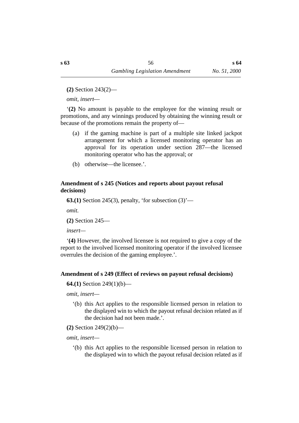**(2)** Section 243(2)—

*omit, insert*—

'**(2)** No amount is payable to the employee for the winning result or promotions, and any winnings produced by obtaining the winning result or because of the promotions remain the property of—

- (a) if the gaming machine is part of a multiple site linked jackpot arrangement for which a licensed monitoring operator has an approval for its operation under section 287—the licensed monitoring operator who has the approval; or
- (b) otherwise—the licensee.'.

## **˙Amendment of s 245 (Notices and reports about payout refusal decisions)**

**63.(1)** Section 245(3), penalty, 'for subsection (3)'—

*omit.*

**(2)** Section 245—

*insert—*

'**(4)** However, the involved licensee is not required to give a copy of the report to the involved licensed monitoring operator if the involved licensee overrules the decision of the gaming employee.'.

## **˙Amendment of s 249 (Effect of reviews on payout refusal decisions)**

**64.(1)** Section 249(1)(b)—

*omit, insert—*

'(b) this Act applies to the responsible licensed person in relation to the displayed win to which the payout refusal decision related as if the decision had not been made.'.

**(2)** Section 249(2)(b)—

*omit, insert—*

'(b) this Act applies to the responsible licensed person in relation to the displayed win to which the payout refusal decision related as if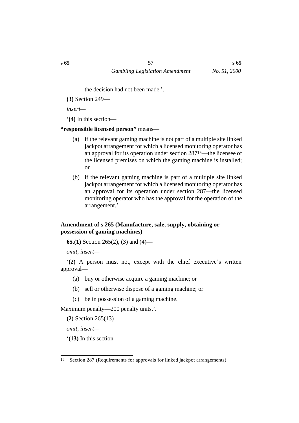the decision had not been made.'.

**(3)** Section 249—

*insert—*

'**(4)** In this section—

## **"responsible licensed person"** means—

- (a) if the relevant gaming machine is not part of a multiple site linked jackpot arrangement for which a licensed monitoring operator has an approval for its operation under section 28715—the licensee of the licensed premises on which the gaming machine is installed; or
- (b) if the relevant gaming machine is part of a multiple site linked jackpot arrangement for which a licensed monitoring operator has an approval for its operation under section 287—the licensed monitoring operator who has the approval for the operation of the arrangement.'.

## **˙Amendment of s 265 (Manufacture, sale, supply, obtaining or possession of gaming machines)**

**65.(1)** Section 265(2), (3) and (4)—

*omit, insert—*

'**(2)** A person must not, except with the chief executive's written approval—

- (a) buy or otherwise acquire a gaming machine; or
- (b) sell or otherwise dispose of a gaming machine; or
- (c) be in possession of a gaming machine.

Maximum penalty—200 penalty units.'.

**(2)** Section 265(13)—

*omit, insert—*

'**(13)** In this section—

<sup>15</sup> Section 287 (Requirements for approvals for linked jackpot arrangements)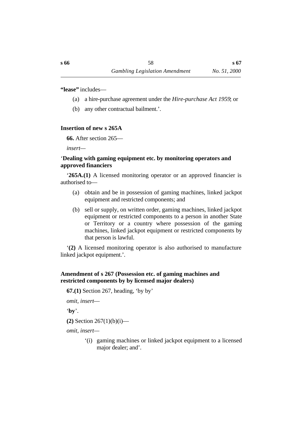**"lease"** includes—

- (a) a hire-purchase agreement under the *Hire-purchase Act 1959*; or
- (b) any other contractual bailment.'.

## **˙Insertion of new s 265A**

**66.** After section 265—

*insert—*

## ˙'**Dealing with gaming equipment etc. by monitoring operators and approved financiers**

'**265A.(1)** A licensed monitoring operator or an approved financier is authorised to—

- (a) obtain and be in possession of gaming machines, linked jackpot equipment and restricted components; and
- (b) sell or supply, on written order, gaming machines, linked jackpot equipment or restricted components to a person in another State or Territory or a country where possession of the gaming machines, linked jackpot equipment or restricted components by that person is lawful.

'**(2)** A licensed monitoring operator is also authorised to manufacture linked jackpot equipment.'.

## **˙Amendment of s 267 (Possession etc. of gaming machines and restricted components by by licensed major dealers)**

**67.(1)** Section 267, heading, 'by by'

*omit, insert*—

'**by**'.

**(2)** Section 267(1)(b)(i)—

*omit, insert—*

'(i) gaming machines or linked jackpot equipment to a licensed major dealer; and'.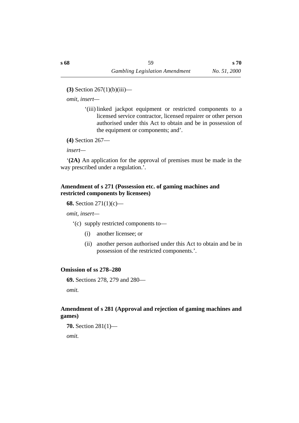**(3)** Section 267(1)(b)(iii)—

*omit, insert—*

'(iii) linked jackpot equipment or restricted components to a licensed service contractor, licensed repairer or other person authorised under this Act to obtain and be in possession of the equipment or components; and'.

```
(4) Section 267—
```
*insert—*

'**(2A)** An application for the approval of premises must be made in the way prescribed under a regulation.'.

## **˙Amendment of s 271 (Possession etc. of gaming machines and restricted components by licensees)**

```
68. Section 271(1)(c)—
```
*omit, insert—*

'(c) supply restricted components to—

- (i) another licensee; or
- (ii) another person authorised under this Act to obtain and be in possession of the restricted components.'.

# **˙Omission of ss 278–280**

**69.** Sections 278, 279 and 280—

*omit.*

# **˙Amendment of s 281 (Approval and rejection of gaming machines and games)**

**70.** Section 281(1)—

*omit.*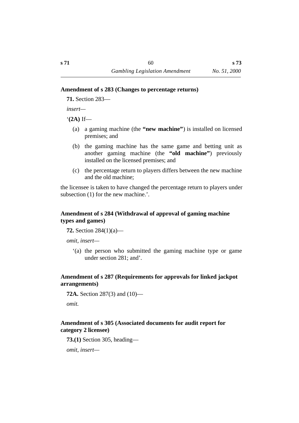#### **˙Amendment of s 283 (Changes to percentage returns)**

**71.** Section 283—

*insert—*

'**(2A)** If—

- (a) a gaming machine (the **"new machine"**) is installed on licensed premises; and
- (b) the gaming machine has the same game and betting unit as another gaming machine (the **"old machine"**) previously installed on the licensed premises; and
- (c) the percentage return to players differs between the new machine and the old machine;

the licensee is taken to have changed the percentage return to players under subsection (1) for the new machine.'.

## **˙Amendment of s 284 (Withdrawal of approval of gaming machine types and games)**

**72.** Section 284(1)(a)—

*omit, insert—*

'(a) the person who submitted the gaming machine type or game under section 281; and'.

## **˙Amendment of s 287 (Requirements for approvals for linked jackpot arrangements)**

**72A.** Section 287(3) and (10)—

*omit.*

## **˙Amendment of s 305 (Associated documents for audit report for category 2 licensee)**

**73.(1)** Section 305, heading—

*omit, insert—*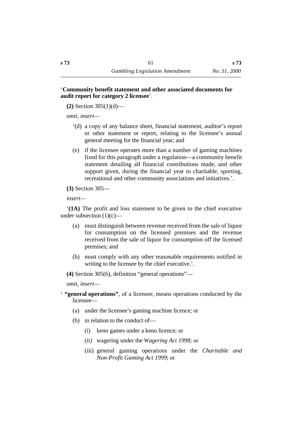### '**Community benefit statement and other associated documents for audit report for category 2 licensee**'.

**(2)** Section 305(1)(d)—

*omit, insert—*

- '(d) a copy of any balance sheet, financial statement, auditor's report or other statement or report, relating to the licensee's annual general meeting for the financial year; and
- (e) if the licensee operates more than a number of gaming machines fixed for this paragraph under a regulation—a community benefit statement detailing all financial contributions made, and other support given, during the financial year to charitable, sporting, recreational and other community associations and initiatives.'.

**(3)** Section 305—

*insert—*

'**(1A)** The profit and loss statement to be given to the chief executive under subsection  $(1)(c)$ —

- (a) must distinguish between revenue received from the sale of liquor for consumption on the licensed premises and the revenue received from the sale of liquor for consumption off the licensed premises; and
- (b) must comply with any other reasonable requirements notified in writing to the licensee by the chief executive.'.

**(4)** Section 305(6), definition "general operations"—

*omit, insert—*

- ' **"general operations"**, of a licensee, means operations conducted by the licensee—
	- (a) under the licensee's gaming machine licence; or
	- (b) in relation to the conduct of—
		- (i) keno games under a keno licence; or
		- (ii) wagering under the *Wagering Act 1998*; or
		- (iii) general gaming operations under the *Charitable and Non-Profit Gaming Act 1999*; or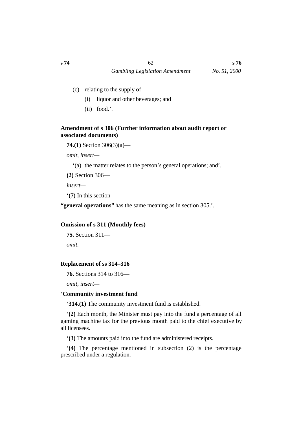- (c) relating to the supply of—
	- (i) liquor and other beverages; and
	- (ii) food.'.

## **˙Amendment of s 306 (Further information about audit report or associated documents)**

**74.(1)** Section 306(3)(a)—

*omit, insert—*

'(a) the matter relates to the person's general operations; and'.

**(2)** Section 306—

*insert—*

'**(7)** In this section—

**"general operations"** has the same meaning as in section 305.'.

#### **˙Omission of s 311 (Monthly fees)**

```
75. Section 311—
```
*omit.*

#### **˙Replacement of ss 314–316**

**76.** Sections 314 to 316—

*omit, insert—*

## ˙'**Community investment fund**

'**314.(1)** The community investment fund is established.

'**(2)** Each month, the Minister must pay into the fund a percentage of all gaming machine tax for the previous month paid to the chief executive by all licensees.

'**(3)** The amounts paid into the fund are administered receipts.

'**(4)** The percentage mentioned in subsection (2) is the percentage prescribed under a regulation.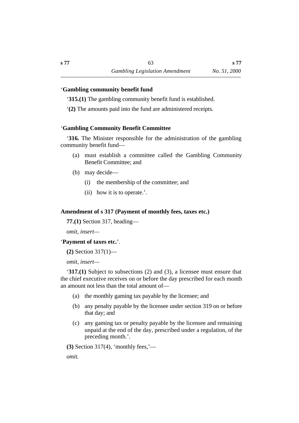**s 77**

## ˙'**Gambling community benefit fund**

'**315.(1)** The gambling community benefit fund is established.

'**(2)** The amounts paid into the fund are administered receipts.

## ˙'**Gambling Community Benefit Committee**

'**316.** The Minister responsible for the administration of the gambling community benefit fund—

- (a) must establish a committee called the Gambling Community Benefit Committee; and
- (b) may decide—
	- (i) the membership of the committee; and
	- (ii) how it is to operate.'.

## **˙Amendment of s 317 (Payment of monthly fees, taxes etc.)**

**77.(1)** Section 317, heading—

*omit, insert—*

## '**Payment of taxes etc.**'.

**(2)** Section 317(1)—

*omit, insert—*

'**317.(1)** Subject to subsections (2) and (3), a licensee must ensure that the chief executive receives on or before the day prescribed for each month an amount not less than the total amount of—

- (a) the monthly gaming tax payable by the licensee; and
- (b) any penalty payable by the licensee under section 319 on or before that day; and
- (c) any gaming tax or penalty payable by the licensee and remaining unpaid at the end of the day, prescribed under a regulation, of the preceding month.'.

**(3)** Section 317(4), 'monthly fees,'—

*omit*.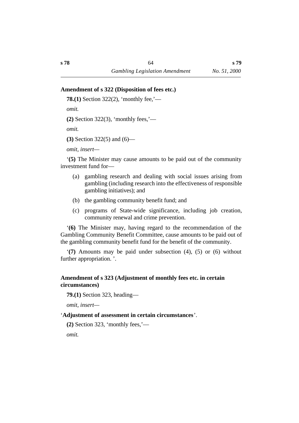#### **˙Amendment of s 322 (Disposition of fees etc.)**

**78.(1)** Section 322(2), 'monthly fee,'—

*omit*.

**(2)** Section 322(3), 'monthly fees,'—

*omit*.

**(3)** Section 322(5) and (6)—

*omit, insert—*

'**(5)** The Minister may cause amounts to be paid out of the community investment fund for—

- (a) gambling research and dealing with social issues arising from gambling (including research into the effectiveness of responsible gambling initiatives); and
- (b) the gambling community benefit fund; and
- (c) programs of State-wide significance, including job creation, community renewal and crime prevention.

'**(6)** The Minister may, having regard to the recommendation of the Gambling Community Benefit Committee, cause amounts to be paid out of the gambling community benefit fund for the benefit of the community.

'**(7)** Amounts may be paid under subsection (4), (5) or (6) without further appropriation. '.

## **˙Amendment of s 323 (Adjustment of monthly fees etc. in certain circumstances)**

**79.(1)** Section 323, heading—

*omit, insert—*

#### '**Adjustment of assessment in certain circumstances**'.

**(2)** Section 323, 'monthly fees,'—

*omit*.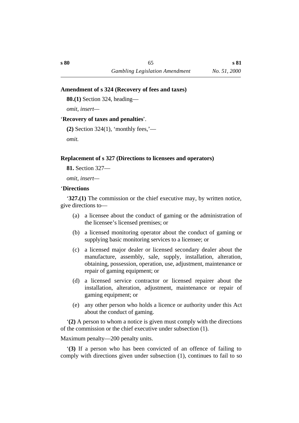#### **˙Amendment of s 324 (Recovery of fees and taxes)**

**80.(1)** Section 324, heading—

*omit, insert—*

### '**Recovery of taxes and penalties**'.

**(2)** Section 324(1), 'monthly fees,'—

*omit*.

## **˙Replacement of s 327 (Directions to licensees and operators)**

**81.** Section 327—

*omit, insert—*

## ˙'**Directions**

'**327.(1)** The commission or the chief executive may, by written notice, give directions to—

- (a) a licensee about the conduct of gaming or the administration of the licensee's licensed premises; or
- (b) a licensed monitoring operator about the conduct of gaming or supplying basic monitoring services to a licensee; or
- (c) a licensed major dealer or licensed secondary dealer about the manufacture, assembly, sale, supply, installation, alteration, obtaining, possession, operation, use, adjustment, maintenance or repair of gaming equipment; or
- (d) a licensed service contractor or licensed repairer about the installation, alteration, adjustment, maintenance or repair of gaming equipment; or
- (e) any other person who holds a licence or authority under this Act about the conduct of gaming.

'**(2)** A person to whom a notice is given must comply with the directions of the commission or the chief executive under subsection (1).

## Maximum penalty—200 penalty units.

'**(3)** If a person who has been convicted of an offence of failing to comply with directions given under subsection (1), continues to fail to so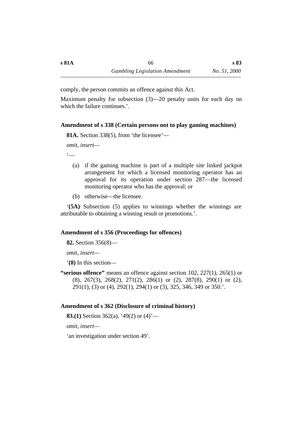comply, the person commits an offence against this Act.

Maximum penalty for subsection (3)—20 penalty units for each day on which the failure continues.'.

## **˙Amendment of s 338 (Certain persons not to play gaming machines)**

**81A.** Section 338(5), from 'the licensee'—

```
omit, insert—
```
 $\epsilon$ 

- (a) if the gaming machine is part of a multiple site linked jackpot arrangement for which a licensed monitoring operator has an approval for its operation under section 287—the licensed monitoring operator who has the approval; or
- (b) otherwise—the licensee.

'**(5A)** Subsection (5) applies to winnings whether the winnings are attributable to obtaining a winning result or promotions.'.

## **˙Amendment of s 356 (Proceedings for offences)**

**82.** Section 356(8)—

*omit, insert—*

'**(8)** In this section—

**"serious offence"** means an offence against section 102, 227(1), 265(1) or (8), 267(3), 268(2), 271(2), 286(1) or (2), 287(8), 290(1) or (2), 291(1), (3) or (4), 292(1), 294(1) or (3), 325, 346, 349 or 350.'.

## **˙Amendment of s 362 (Disclosure of criminal history)**

**83.(1)** Section 362(a), '49(2) or (4)'—

*omit, insert—*

'an investigation under section 49'.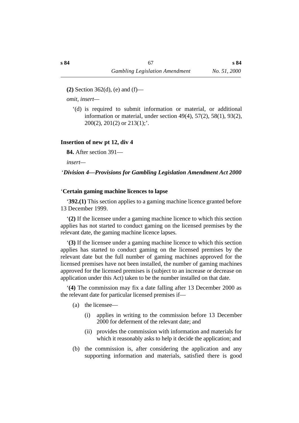**(2)** Section 362(d), (e) and (f)—

*omit, insert—*

'(d) is required to submit information or material, or additional information or material, under section 49(4), 57(2), 58(1), 93(2),  $200(2)$ ,  $201(2)$  or  $213(1)$ ;'.

## **˙Insertion of new pt 12, div 4**

**84.** After section 391—

*insert—*

### † '*Division 4—Provisions for Gambling Legislation Amendment Act 2000*

#### ˙'**Certain gaming machine licences to lapse**

'**392.(1)** This section applies to a gaming machine licence granted before 13 December 1999.

'**(2)** If the licensee under a gaming machine licence to which this section applies has not started to conduct gaming on the licensed premises by the relevant date, the gaming machine licence lapses.

'**(3)** If the licensee under a gaming machine licence to which this section applies has started to conduct gaming on the licensed premises by the relevant date but the full number of gaming machines approved for the licensed premises have not been installed, the number of gaming machines approved for the licensed premises is (subject to an increase or decrease on application under this Act) taken to be the number installed on that date.

'**(4)** The commission may fix a date falling after 13 December 2000 as the relevant date for particular licensed premises if—

- (a) the licensee—
	- (i) applies in writing to the commission before 13 December 2000 for deferment of the relevant date; and
	- (ii) provides the commission with information and materials for which it reasonably asks to help it decide the application; and
- (b) the commission is, after considering the application and any supporting information and materials, satisfied there is good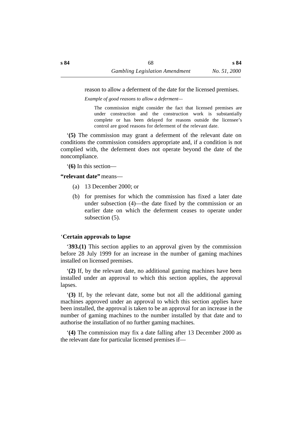reason to allow a deferment of the date for the licensed premises.

*Example of good reasons to allow a deferment—*

The commission might consider the fact that licensed premises are under construction and the construction work is substantially complete or has been delayed for reasons outside the licensee's control are good reasons for deferment of the relevant date.

'**(5)** The commission may grant a deferment of the relevant date on conditions the commission considers appropriate and, if a condition is not complied with, the deferment does not operate beyond the date of the noncompliance.

'**(6)** In this section—

**"relevant date"** means—

- (a) 13 December 2000; or
- (b) for premises for which the commission has fixed a later date under subsection (4)—the date fixed by the commission or an earlier date on which the deferment ceases to operate under subsection (5).

## ˙'**Certain approvals to lapse**

'**393.(1)** This section applies to an approval given by the commission before 28 July 1999 for an increase in the number of gaming machines installed on licensed premises.

'**(2)** If, by the relevant date, no additional gaming machines have been installed under an approval to which this section applies, the approval lapses.

'**(3)** If, by the relevant date, some but not all the additional gaming machines approved under an approval to which this section applies have been installed, the approval is taken to be an approval for an increase in the number of gaming machines to the number installed by that date and to authorise the installation of no further gaming machines.

'**(4)** The commission may fix a date falling after 13 December 2000 as the relevant date for particular licensed premises if—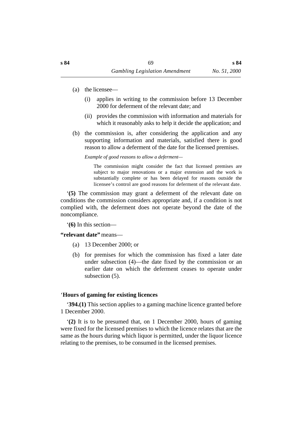- (a) the licensee—
	- (i) applies in writing to the commission before 13 December 2000 for deferment of the relevant date; and
	- (ii) provides the commission with information and materials for which it reasonably asks to help it decide the application; and
- (b) the commission is, after considering the application and any supporting information and materials, satisfied there is good reason to allow a deferment of the date for the licensed premises.

*Example of good reasons to allow a deferment—*

The commission might consider the fact that licensed premises are subject to major renovations or a major extension and the work is substantially complete or has been delayed for reasons outside the licensee's control are good reasons for deferment of the relevant date.

'**(5)** The commission may grant a deferment of the relevant date on conditions the commission considers appropriate and, if a condition is not complied with, the deferment does not operate beyond the date of the noncompliance.

'**(6)** In this section—

**"relevant date"** means—

- (a) 13 December 2000; or
- (b) for premises for which the commission has fixed a later date under subsection (4)—the date fixed by the commission or an earlier date on which the deferment ceases to operate under subsection (5).

#### ˙'**Hours of gaming for existing licences**

'**394.(1)** This section applies to a gaming machine licence granted before 1 December 2000.

'**(2)** It is to be presumed that, on 1 December 2000, hours of gaming were fixed for the licensed premises to which the licence relates that are the same as the hours during which liquor is permitted, under the liquor licence relating to the premises, to be consumed in the licensed premises.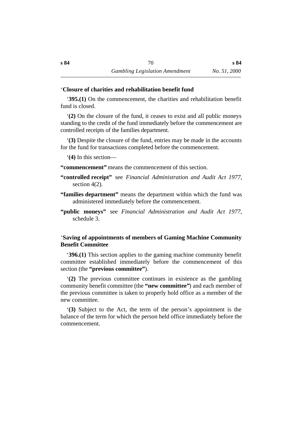#### ˙'**Closure of charities and rehabilitation benefit fund**

'**395.(1)** On the commencement, the charities and rehabilitation benefit fund is closed.

'**(2)** On the closure of the fund, it ceases to exist and all public moneys standing to the credit of the fund immediately before the commencement are controlled receipts of the families department.

'**(3)** Despite the closure of the fund, entries may be made in the accounts for the fund for transactions completed before the commencement.

'**(4)** In this section—

**"commencement"** means the commencement of this section.

- **"controlled receipt"** see *Financial Administration and Audit Act 1977*, section 4(2).
- **"families department"** means the department within which the fund was administered immediately before the commencement.
- **"public moneys"** see *Financial Administration and Audit Act 1977*, schedule 3.

## ˙'**Saving of appointments of members of Gaming Machine Community Benefit Committee**

'**396.(1)** This section applies to the gaming machine community benefit committee established immediately before the commencement of this section (the **"previous committee"**).

'**(2)** The previous committee continues in existence as the gambling community benefit committee (the **"new committee"**) and each member of the previous committee is taken to properly hold office as a member of the new committee.

'**(3)** Subject to the Act, the term of the person's appointment is the balance of the term for which the person held office immediately before the commencement.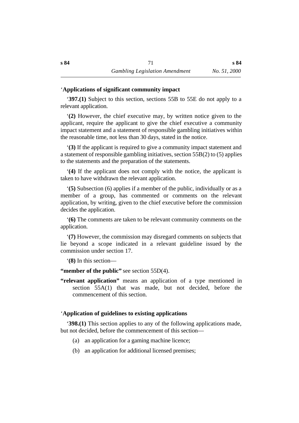**s 84**

### ˙'**Applications of significant community impact**

'**397.(1)** Subject to this section, sections 55B to 55E do not apply to a relevant application.

'**(2)** However, the chief executive may, by written notice given to the applicant, require the applicant to give the chief executive a community impact statement and a statement of responsible gambling initiatives within the reasonable time, not less than 30 days, stated in the notice.

'**(3)** If the applicant is required to give a community impact statement and a statement of responsible gambling initiatives, section 55B(2) to (5) applies to the statements and the preparation of the statements.

'**(4)** If the applicant does not comply with the notice, the applicant is taken to have withdrawn the relevant application.

'**(5)** Subsection (6) applies if a member of the public, individually or as a member of a group, has commented or comments on the relevant application, by writing, given to the chief executive before the commission decides the application.

'**(6)** The comments are taken to be relevant community comments on the application.

'**(7)** However, the commission may disregard comments on subjects that lie beyond a scope indicated in a relevant guideline issued by the commission under section 17.

'**(8)** In this section—

**"member of the public"** see section 55D(4).

**"relevant application"** means an application of a type mentioned in section 55A(1) that was made, but not decided, before the commencement of this section.

#### ˙'**Application of guidelines to existing applications**

'**398.(1)** This section applies to any of the following applications made, but not decided, before the commencement of this section—

- (a) an application for a gaming machine licence;
- (b) an application for additional licensed premises;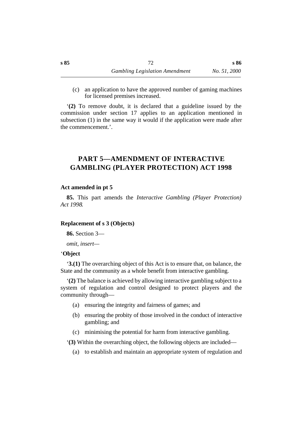(c) an application to have the approved number of gaming machines for licensed premises increased.

'**(2)** To remove doubt, it is declared that a guideline issued by the commission under section 17 applies to an application mentioned in subsection (1) in the same way it would if the application were made after the commencement.'.

# **†PART 5—AMENDMENT OF INTERACTIVE GAMBLING (PLAYER PROTECTION) ACT 1998**

## **˙Act amended in pt 5**

**85.** This part amends the *Interactive Gambling (Player Protection) Act 1998*.

### **˙Replacement of s 3 (Objects)**

**86.** Section 3—

*omit, insert—*

### ˙'**Object**

'**3.(1)** The overarching object of this Act is to ensure that, on balance, the State and the community as a whole benefit from interactive gambling.

'**(2)** The balance is achieved by allowing interactive gambling subject to a system of regulation and control designed to protect players and the community through—

- (a) ensuring the integrity and fairness of games; and
- (b) ensuring the probity of those involved in the conduct of interactive gambling; and
- (c) minimising the potential for harm from interactive gambling.

'**(3)** Within the overarching object, the following objects are included—

(a) to establish and maintain an appropriate system of regulation and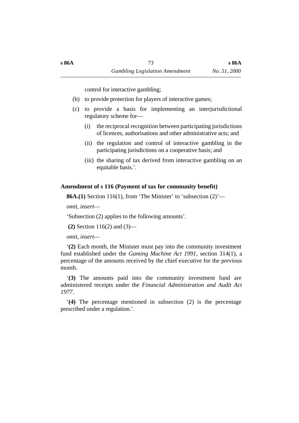control for interactive gambling;

- (b) to provide protection for players of interactive games;
- (c) to provide a basis for implementing an interjurisdictional regulatory scheme for—
	- (i) the reciprocal recognition between participating jurisdictions of licences, authorisations and other administrative acts; and
	- (ii) the regulation and control of interactive gambling in the participating jurisdictions on a cooperative basis; and
	- (iii) the sharing of tax derived from interactive gambling on an equitable basis.'.

# **˙Amendment of s 116 (Payment of tax for community benefit)**

**86A.(1)** Section 116(1), from 'The Minister' to 'subsection (2)'—

*omit, insert*—

'Subsection (2) applies to the following amounts'.

**(2)** Section 116(2) and (3)—

*omit, insert—*

'**(2)** Each month, the Minister must pay into the community investment fund established under the *Gaming Machine Act 1991*, section 314(1), a percentage of the amounts received by the chief executive for the previous month.

'**(3)** The amounts paid into the community investment fund are administered receipts under the *Financial Administration and Audit Act 1977*.

'**(4)** The percentage mentioned in subsection (2) is the percentage prescribed under a regulation.'.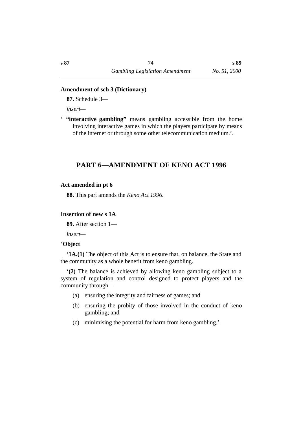### **˙Amendment of sch 3 (Dictionary)**

**87.** Schedule 3—

*insert—*

' **"interactive gambling"** means gambling accessible from the home involving interactive games in which the players participate by means of the internet or through some other telecommunication medium.'.

# **†PART 6—AMENDMENT OF KENO ACT 1996**

#### **˙Act amended in pt 6**

**88.** This part amends the *Keno Act 1996*.

### **˙Insertion of new s 1A**

**89.** After section 1—

*insert—*

#### ˙'**Object**

'**1A.(1)** The object of this Act is to ensure that, on balance, the State and the community as a whole benefit from keno gambling.

'**(2)** The balance is achieved by allowing keno gambling subject to a system of regulation and control designed to protect players and the community through—

- (a) ensuring the integrity and fairness of games; and
- (b) ensuring the probity of those involved in the conduct of keno gambling; and
- (c) minimising the potential for harm from keno gambling.'.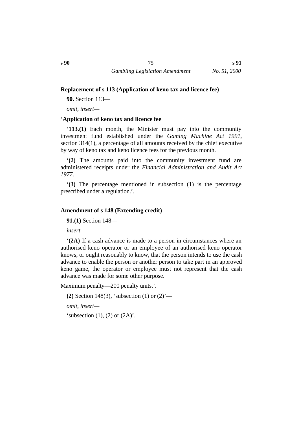## **˙Replacement of s 113 (Application of keno tax and licence fee)**

**90.** Section 113—

*omit, insert—*

## ˙'**Application of keno tax and licence fee**

'**113.(1)** Each month, the Minister must pay into the community investment fund established under the *Gaming Machine Act 1991*, section 314(1), a percentage of all amounts received by the chief executive by way of keno tax and keno licence fees for the previous month.

'**(2)** The amounts paid into the community investment fund are administered receipts under the *Financial Administration and Audit Act 1977*.

'**(3)** The percentage mentioned in subsection (1) is the percentage prescribed under a regulation.'.

## **˙Amendment of s 148 (Extending credit)**

**91.(1)** Section 148—

*insert—*

'**(2A)** If a cash advance is made to a person in circumstances where an authorised keno operator or an employee of an authorised keno operator knows, or ought reasonably to know, that the person intends to use the cash advance to enable the person or another person to take part in an approved keno game, the operator or employee must not represent that the cash advance was made for some other purpose.

Maximum penalty—200 penalty units.'.

**(2)** Section 148(3), 'subsection (1) or (2)'—

*omit, insert—*

'subsection  $(1)$ ,  $(2)$  or  $(2A)$ '.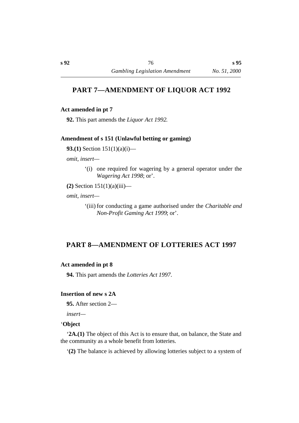# **†PART 7—AMENDMENT OF LIQUOR ACT 1992**

## **˙Act amended in pt 7**

**92.** This part amends the *Liquor Act 1992*.

## **˙Amendment of s 151 (Unlawful betting or gaming)**

**93.(1)** Section 151(1)(a)(i)—

*omit, insert—*

- '(i) one required for wagering by a general operator under the *Wagering Act 1998*; or'.
- **(2)** Section 151(1)(a)(iii)—

*omit, insert—*

'(iii) for conducting a game authorised under the *Charitable and Non-Profit Gaming Act 1999*; or'.

# **†PART 8—AMENDMENT OF LOTTERIES ACT 1997**

### **˙Act amended in pt 8**

**94.** This part amends the *Lotteries Act 1997*.

### **˙Insertion of new s 2A**

**95.** After section 2—

*insert—*

#### ˙'**Object**

'**2A.(1)** The object of this Act is to ensure that, on balance, the State and the community as a whole benefit from lotteries.

'**(2)** The balance is achieved by allowing lotteries subject to a system of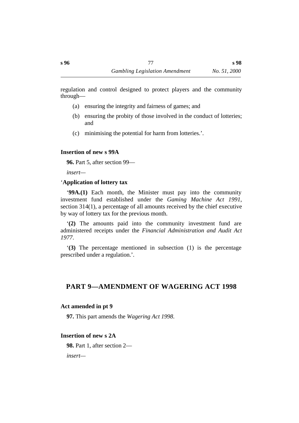regulation and control designed to protect players and the community through—

- (a) ensuring the integrity and fairness of games; and
- (b) ensuring the probity of those involved in the conduct of lotteries; and
- (c) minimising the potential for harm from lotteries.'.

# **˙Insertion of new s 99A**

**96.** Part 5, after section 99—

*insert—*

# ˙'**Application of lottery tax**

'**99A.(1)** Each month, the Minister must pay into the community investment fund established under the *Gaming Machine Act 1991*, section 314(1), a percentage of all amounts received by the chief executive by way of lottery tax for the previous month.

'**(2)** The amounts paid into the community investment fund are administered receipts under the *Financial Administration and Audit Act 1977*.

'**(3)** The percentage mentioned in subsection (1) is the percentage prescribed under a regulation.'.

# **†PART 9—AMENDMENT OF WAGERING ACT 1998**

# **˙Act amended in pt 9**

**97.** This part amends the *Wagering Act 1998*.

# **˙Insertion of new s 2A**

**98.** Part 1, after section 2—

*insert—*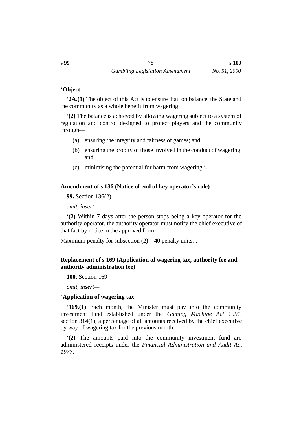## ˙'**Object**

'**2A.(1)** The object of this Act is to ensure that, on balance, the State and the community as a whole benefit from wagering.

'**(2)** The balance is achieved by allowing wagering subject to a system of regulation and control designed to protect players and the community through—

- (a) ensuring the integrity and fairness of games; and
- (b) ensuring the probity of those involved in the conduct of wagering; and
- (c) minimising the potential for harm from wagering.'.

# **˙Amendment of s 136 (Notice of end of key operator's role)**

**99.** Section 136(2)—

*omit, insert—*

'**(2)** Within 7 days after the person stops being a key operator for the authority operator, the authority operator must notify the chief executive of that fact by notice in the approved form.

Maximum penalty for subsection (2)—40 penalty units.'.

# **˙Replacement of s 169 (Application of wagering tax, authority fee and authority administration fee)**

**100.** Section 169—

*omit, insert—*

# ˙'**Application of wagering tax**

'**169.(1)** Each month, the Minister must pay into the community investment fund established under the *Gaming Machine Act 1991*, section 314(1), a percentage of all amounts received by the chief executive by way of wagering tax for the previous month.

'**(2)** The amounts paid into the community investment fund are administered receipts under the *Financial Administration and Audit Act 1977*.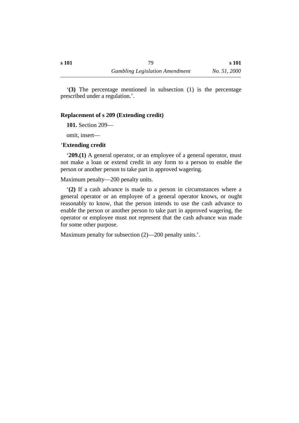**s 101**

'**(3)** The percentage mentioned in subsection (1) is the percentage prescribed under a regulation.'.

### **˙Replacement of s 209 (Extending credit)**

**101.** Section 209—

omit, insert—

#### ˙'**Extending credit**

'**209.(1)** A general operator, or an employee of a general operator, must not make a loan or extend credit in any form to a person to enable the person or another person to take part in approved wagering.

Maximum penalty—200 penalty units.

'**(2)** If a cash advance is made to a person in circumstances where a general operator or an employee of a general operator knows, or ought reasonably to know, that the person intends to use the cash advance to enable the person or another person to take part in approved wagering, the operator or employee must not represent that the cash advance was made for some other purpose.

Maximum penalty for subsection  $(2)$ —200 penalty units.'.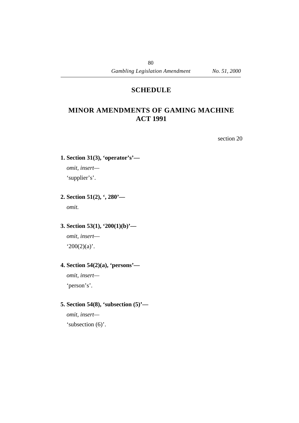# **¡SCHEDULE**

# **†MINOR AMENDMENTS OF GAMING MACHINE ACT 1991**

section 20

**1. Section 31(3), 'operator's'—**

*omit, insert—*

'supplier's'.

**2. Section 51(2), ', 280'—**

*omit.*

# **3. Section 53(1), '200(1)(b)'—**

*omit, insert*—  $200(2)(a)$ .

# **4. Section 54(2)(a), 'persons'—**

*omit, insert—* 'person's'.

# **5. Section 54(8), 'subsection (5)'—**

*omit, insert—* 'subsection (6)'.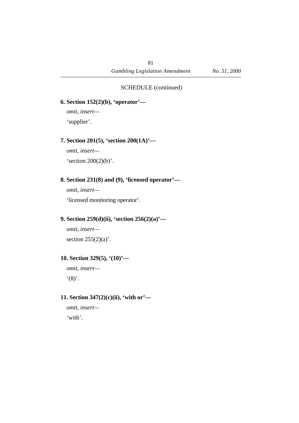### SCHEDULE (continued)

**6. Section 152(2)(b), 'operator'—**

*omit, insert—* 'supplier'.

### **7. Section 201(5), 'section 200(1A)'—**

*omit, insert—*

's ection  $200(2)(b)$ '.

## **8. Section 231(8) and (9), 'licensed operator'—**

*omit, insert—*

'licensed monitoring operator'.

## **9. Section 259(d)(ii), 'section 256(2)(a)'—**

*omit, insert* section  $255(2)(a)$ .

## **10. Section 329(5), '(10)'—**

*omit, insert*—  $'(8)$ .

## **11. Section 347(2)(c)(ii), 'with or'—**

*omit, insert—* 'with'.